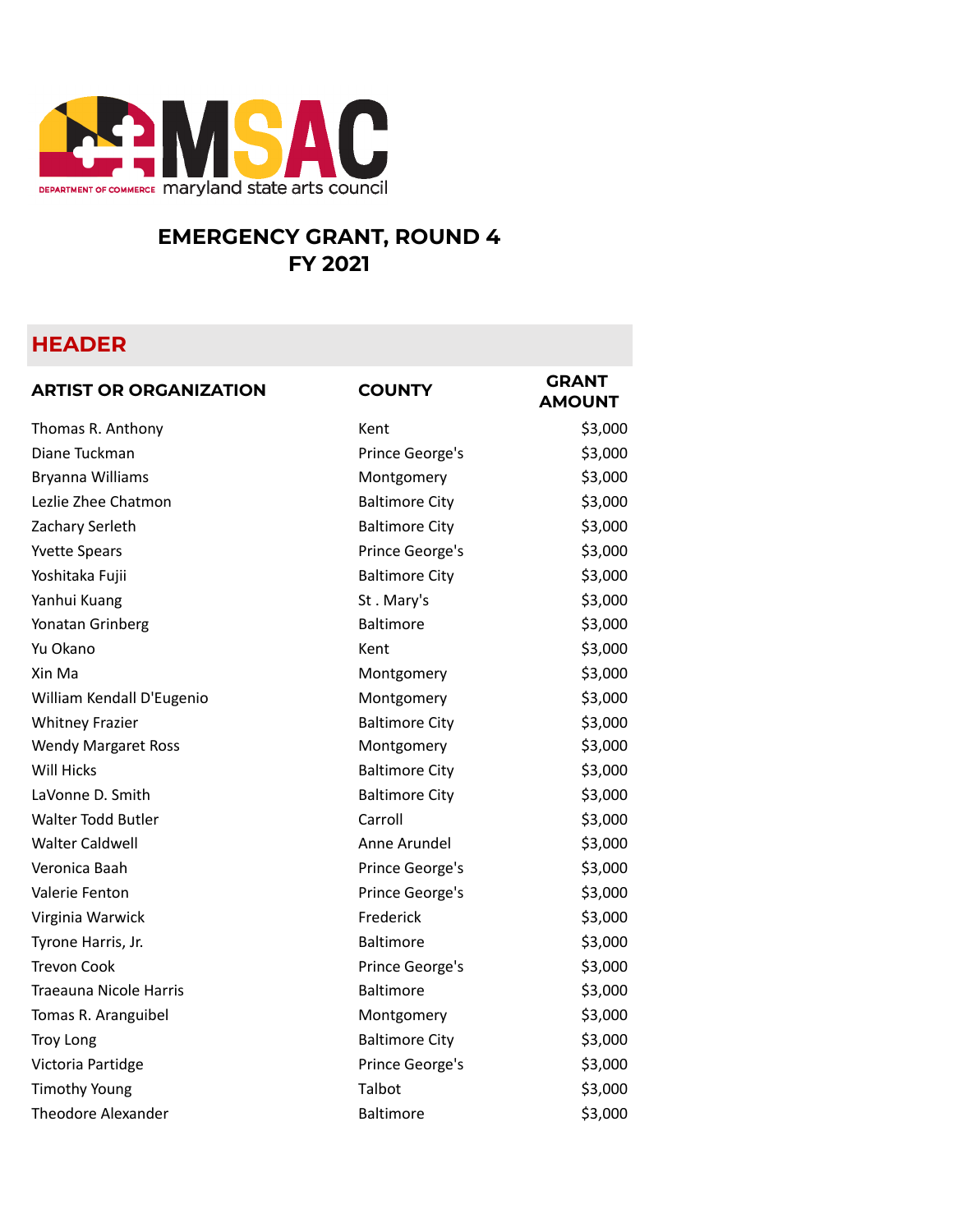

## **EMERGENCY GRANT, ROUND 4 FY 2021**

## **HEADER**

| <b>ARTIST OR ORGANIZATION</b> | <b>COUNTY</b>         | <b>GRANT</b><br><b>AMOUNT</b> |
|-------------------------------|-----------------------|-------------------------------|
| Thomas R. Anthony             | Kent                  | \$3,000                       |
| Diane Tuckman                 | Prince George's       | \$3,000                       |
| Bryanna Williams              | Montgomery            | \$3,000                       |
| Lezlie Zhee Chatmon           | <b>Baltimore City</b> | \$3,000                       |
| Zachary Serleth               | <b>Baltimore City</b> | \$3,000                       |
| <b>Yvette Spears</b>          | Prince George's       | \$3,000                       |
| Yoshitaka Fujii               | <b>Baltimore City</b> | \$3,000                       |
| Yanhui Kuang                  | St. Mary's            | \$3,000                       |
| Yonatan Grinberg              | Baltimore             | \$3,000                       |
| Yu Okano                      | Kent                  | \$3,000                       |
| Xin Ma                        | Montgomery            | \$3,000                       |
| William Kendall D'Eugenio     | Montgomery            | \$3,000                       |
| <b>Whitney Frazier</b>        | <b>Baltimore City</b> | \$3,000                       |
| <b>Wendy Margaret Ross</b>    | Montgomery            | \$3,000                       |
| Will Hicks                    | <b>Baltimore City</b> | \$3,000                       |
| LaVonne D. Smith              | <b>Baltimore City</b> | \$3,000                       |
| <b>Walter Todd Butler</b>     | Carroll               | \$3,000                       |
| Walter Caldwell               | Anne Arundel          | \$3,000                       |
| Veronica Baah                 | Prince George's       | \$3,000                       |
| Valerie Fenton                | Prince George's       | \$3,000                       |
| Virginia Warwick              | Frederick             | \$3,000                       |
| Tyrone Harris, Jr.            | Baltimore             | \$3,000                       |
| Trevon Cook                   | Prince George's       | \$3,000                       |
| <b>Traeauna Nicole Harris</b> | <b>Baltimore</b>      | \$3,000                       |
| Tomas R. Aranguibel           | Montgomery            | \$3,000                       |
| <b>Troy Long</b>              | <b>Baltimore City</b> | \$3,000                       |
| Victoria Partidge             | Prince George's       | \$3,000                       |
| <b>Timothy Young</b>          | Talbot                | \$3,000                       |
| <b>Theodore Alexander</b>     | <b>Baltimore</b>      | \$3,000                       |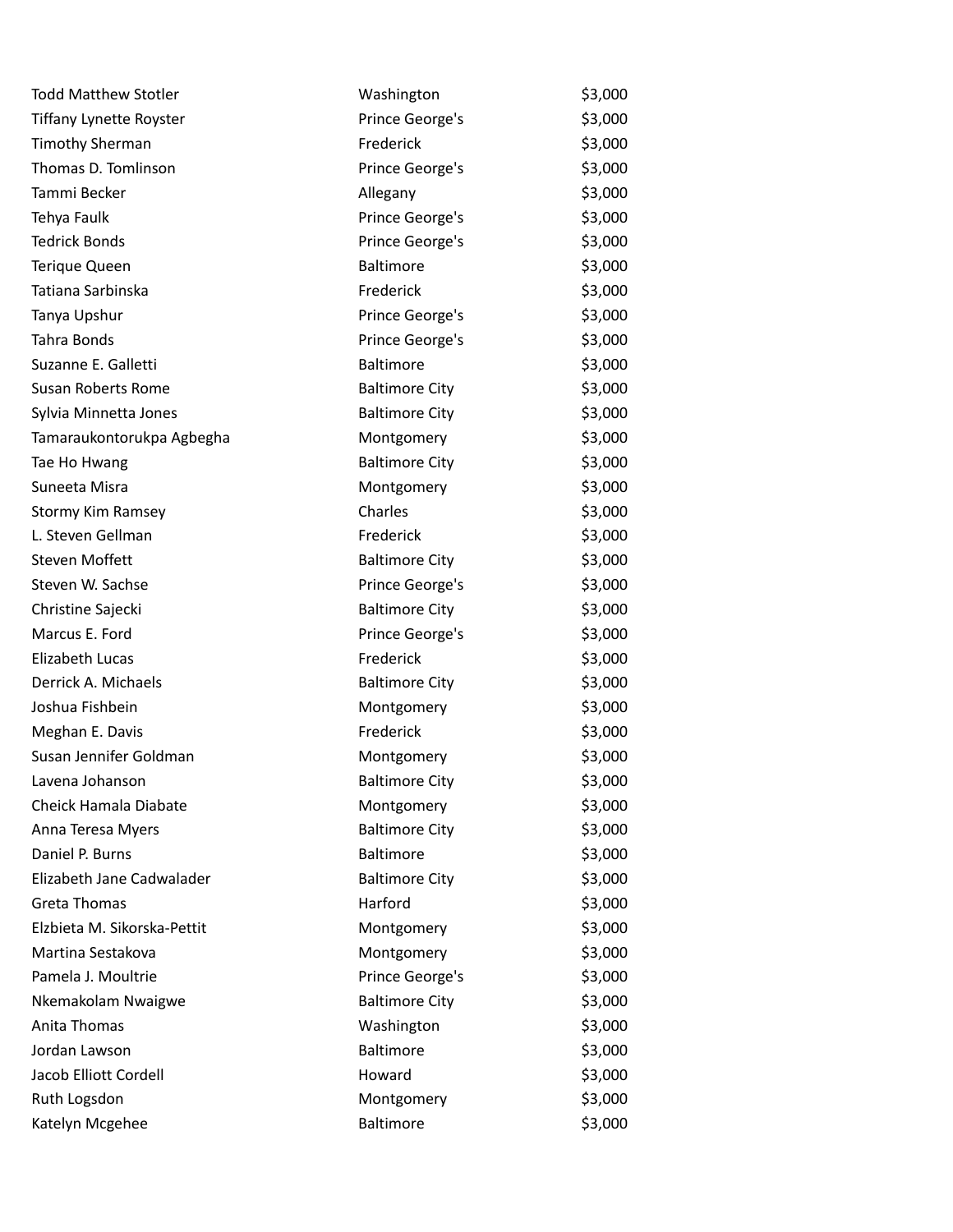| <b>Todd Matthew Stotler</b>    | Washington            | \$3,000 |
|--------------------------------|-----------------------|---------|
| <b>Tiffany Lynette Royster</b> | Prince George's       | \$3,000 |
| <b>Timothy Sherman</b>         | Frederick             | \$3,000 |
| Thomas D. Tomlinson            | Prince George's       | \$3,000 |
| Tammi Becker                   | Allegany              | \$3,000 |
| Tehya Faulk                    | Prince George's       | \$3,000 |
| <b>Tedrick Bonds</b>           | Prince George's       | \$3,000 |
| Terique Queen                  | <b>Baltimore</b>      | \$3,000 |
| Tatiana Sarbinska              | Frederick             | \$3,000 |
| Tanya Upshur                   | Prince George's       | \$3,000 |
| Tahra Bonds                    | Prince George's       | \$3,000 |
| Suzanne E. Galletti            | <b>Baltimore</b>      | \$3,000 |
| <b>Susan Roberts Rome</b>      | <b>Baltimore City</b> | \$3,000 |
| Sylvia Minnetta Jones          | <b>Baltimore City</b> | \$3,000 |
| Tamaraukontorukpa Agbegha      | Montgomery            | \$3,000 |
| Tae Ho Hwang                   | <b>Baltimore City</b> | \$3,000 |
| Suneeta Misra                  | Montgomery            | \$3,000 |
| <b>Stormy Kim Ramsey</b>       | Charles               | \$3,000 |
| L. Steven Gellman              | Frederick             | \$3,000 |
| <b>Steven Moffett</b>          | <b>Baltimore City</b> | \$3,000 |
| Steven W. Sachse               | Prince George's       | \$3,000 |
| Christine Sajecki              | <b>Baltimore City</b> | \$3,000 |
| Marcus E. Ford                 | Prince George's       | \$3,000 |
| Elizabeth Lucas                | Frederick             | \$3,000 |
| Derrick A. Michaels            | <b>Baltimore City</b> | \$3,000 |
| Joshua Fishbein                | Montgomery            | \$3,000 |
| Meghan E. Davis                | Frederick             | \$3,000 |
| Susan Jennifer Goldman         | Montgomery            | \$3,000 |
| Lavena Johanson                | <b>Baltimore City</b> | \$3,000 |
| Cheick Hamala Diabate          | Montgomery            | \$3,000 |
| Anna Teresa Myers              | <b>Baltimore City</b> | \$3,000 |
| Daniel P. Burns                | <b>Baltimore</b>      | \$3,000 |
| Elizabeth Jane Cadwalader      | <b>Baltimore City</b> | \$3,000 |
| <b>Greta Thomas</b>            | Harford               | \$3,000 |
| Elzbieta M. Sikorska-Pettit    | Montgomery            | \$3,000 |
| Martina Sestakova              | Montgomery            | \$3,000 |
| Pamela J. Moultrie             | Prince George's       | \$3,000 |
| Nkemakolam Nwaigwe             | <b>Baltimore City</b> | \$3,000 |
| Anita Thomas                   | Washington            | \$3,000 |
| Jordan Lawson                  | Baltimore             | \$3,000 |
| Jacob Elliott Cordell          | Howard                | \$3,000 |
| Ruth Logsdon                   | Montgomery            | \$3,000 |
| Katelyn Mcgehee                | Baltimore             | \$3,000 |
|                                |                       |         |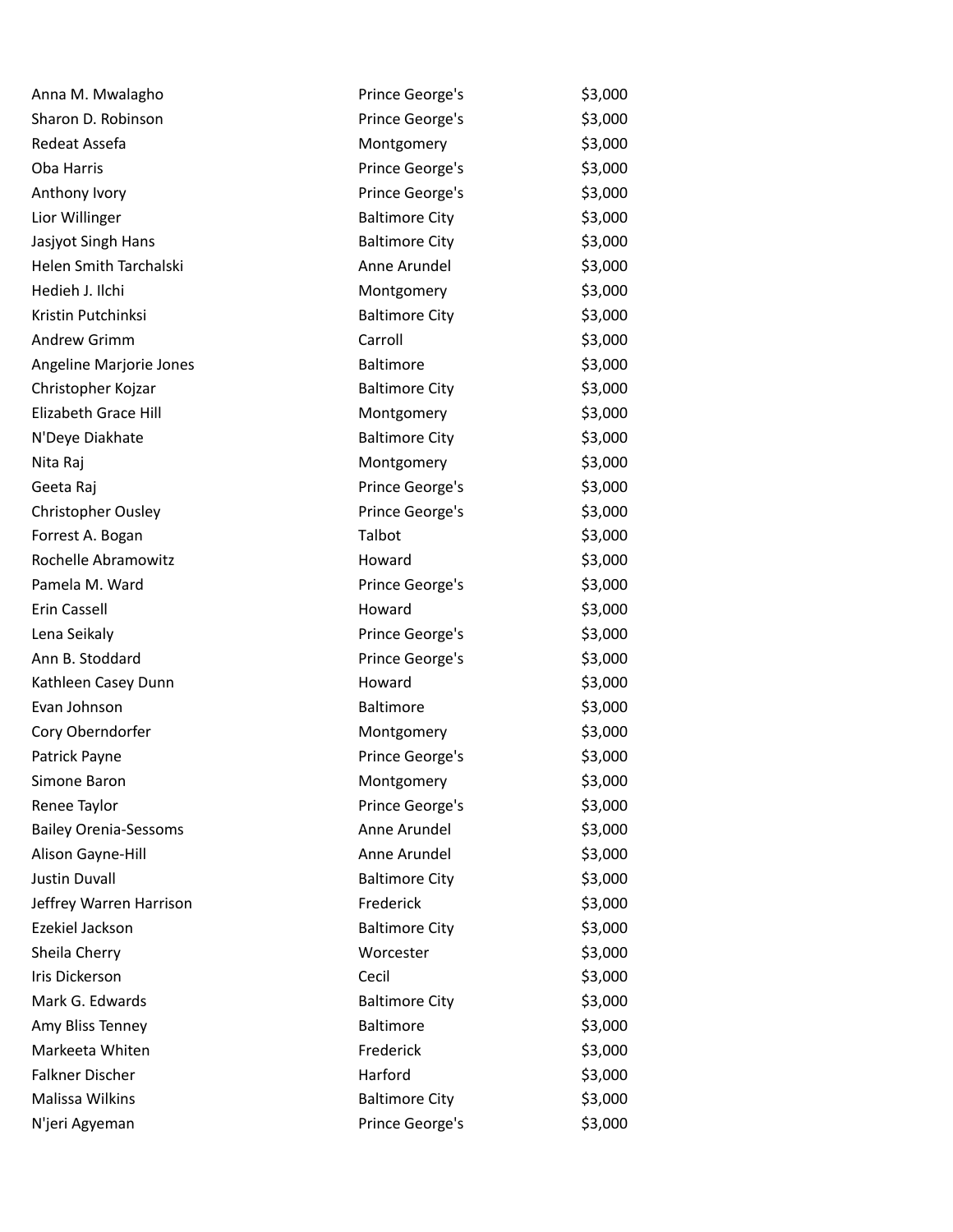| Anna M. Mwalagho             | Prince George's       | \$3,000 |
|------------------------------|-----------------------|---------|
| Sharon D. Robinson           | Prince George's       | \$3,000 |
| Redeat Assefa                | Montgomery            | \$3,000 |
| <b>Oba Harris</b>            | Prince George's       | \$3,000 |
| Anthony Ivory                | Prince George's       | \$3,000 |
| Lior Willinger               | <b>Baltimore City</b> | \$3,000 |
| Jasjyot Singh Hans           | <b>Baltimore City</b> | \$3,000 |
| Helen Smith Tarchalski       | Anne Arundel          | \$3,000 |
| Hedieh J. Ilchi              | Montgomery            | \$3,000 |
| Kristin Putchinksi           | <b>Baltimore City</b> | \$3,000 |
| Andrew Grimm                 | Carroll               | \$3,000 |
| Angeline Marjorie Jones      | <b>Baltimore</b>      | \$3,000 |
| Christopher Kojzar           | <b>Baltimore City</b> | \$3,000 |
| Elizabeth Grace Hill         | Montgomery            | \$3,000 |
| N'Deye Diakhate              | <b>Baltimore City</b> | \$3,000 |
| Nita Raj                     | Montgomery            | \$3,000 |
| Geeta Raj                    | Prince George's       | \$3,000 |
| Christopher Ousley           | Prince George's       | \$3,000 |
| Forrest A. Bogan             | Talbot                | \$3,000 |
| Rochelle Abramowitz          | Howard                | \$3,000 |
| Pamela M. Ward               | Prince George's       | \$3,000 |
| Erin Cassell                 | Howard                | \$3,000 |
| Lena Seikaly                 | Prince George's       | \$3,000 |
| Ann B. Stoddard              | Prince George's       | \$3,000 |
| Kathleen Casey Dunn          | Howard                | \$3,000 |
| Evan Johnson                 | Baltimore             | \$3,000 |
| Cory Oberndorfer             | Montgomery            | \$3,000 |
| Patrick Payne                | Prince George's       | \$3,000 |
| Simone Baron                 | Montgomery            | \$3,000 |
| Renee Taylor                 | Prince George's       | \$3,000 |
| <b>Bailey Orenia-Sessoms</b> | Anne Arundel          | \$3,000 |
| Alison Gayne-Hill            | Anne Arundel          | \$3,000 |
| <b>Justin Duvall</b>         | <b>Baltimore City</b> | \$3,000 |
| Jeffrey Warren Harrison      | Frederick             | \$3,000 |
| Ezekiel Jackson              | <b>Baltimore City</b> | \$3,000 |
| Sheila Cherry                | Worcester             | \$3,000 |
| Iris Dickerson               | Cecil                 | \$3,000 |
| Mark G. Edwards              | <b>Baltimore City</b> | \$3,000 |
| Amy Bliss Tenney             | Baltimore             | \$3,000 |
| Markeeta Whiten              | Frederick             | \$3,000 |
| Falkner Discher              | Harford               | \$3,000 |
| Malissa Wilkins              | <b>Baltimore City</b> | \$3,000 |
| N'jeri Agyeman               | Prince George's       | \$3,000 |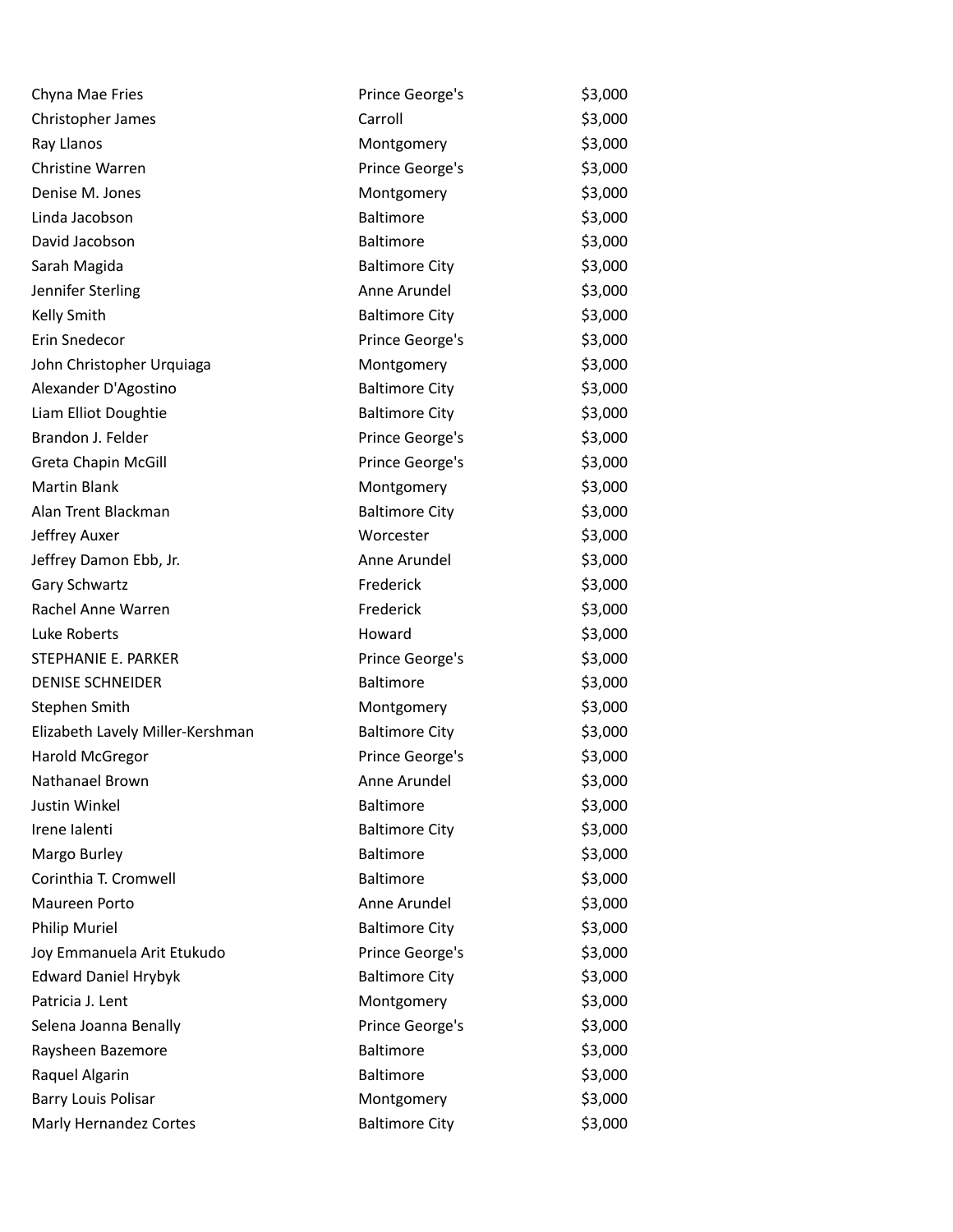| Chyna Mae Fries                  | Prince George's       | \$3,000 |
|----------------------------------|-----------------------|---------|
| Christopher James                | Carroll               | \$3,000 |
| Ray Llanos                       | Montgomery            | \$3,000 |
| Christine Warren                 | Prince George's       | \$3,000 |
| Denise M. Jones                  | Montgomery            | \$3,000 |
| Linda Jacobson                   | Baltimore             | \$3,000 |
| David Jacobson                   | Baltimore             | \$3,000 |
| Sarah Magida                     | <b>Baltimore City</b> | \$3,000 |
| Jennifer Sterling                | Anne Arundel          | \$3,000 |
| Kelly Smith                      | <b>Baltimore City</b> | \$3,000 |
| Erin Snedecor                    | Prince George's       | \$3,000 |
| John Christopher Urquiaga        | Montgomery            | \$3,000 |
| Alexander D'Agostino             | <b>Baltimore City</b> | \$3,000 |
| Liam Elliot Doughtie             | <b>Baltimore City</b> | \$3,000 |
| Brandon J. Felder                | Prince George's       | \$3,000 |
| Greta Chapin McGill              | Prince George's       | \$3,000 |
| <b>Martin Blank</b>              | Montgomery            | \$3,000 |
| Alan Trent Blackman              | <b>Baltimore City</b> | \$3,000 |
| Jeffrey Auxer                    | Worcester             | \$3,000 |
| Jeffrey Damon Ebb, Jr.           | Anne Arundel          | \$3,000 |
| Gary Schwartz                    | Frederick             | \$3,000 |
| Rachel Anne Warren               | Frederick             | \$3,000 |
| Luke Roberts                     | Howard                | \$3,000 |
| STEPHANIE E. PARKER              | Prince George's       | \$3,000 |
| <b>DENISE SCHNEIDER</b>          | Baltimore             | \$3,000 |
| Stephen Smith                    | Montgomery            | \$3,000 |
| Elizabeth Lavely Miller-Kershman | <b>Baltimore City</b> | \$3,000 |
| Harold McGregor                  | Prince George's       | \$3,000 |
| Nathanael Brown                  | Anne Arundel          | \$3,000 |
| Justin Winkel                    | <b>Baltimore</b>      | \$3,000 |
| Irene lalenti                    | <b>Baltimore City</b> | \$3,000 |
| Margo Burley                     | Baltimore             | \$3,000 |
| Corinthia T. Cromwell            | Baltimore             | \$3,000 |
| Maureen Porto                    | Anne Arundel          | \$3,000 |
| <b>Philip Muriel</b>             | <b>Baltimore City</b> | \$3,000 |
| Joy Emmanuela Arit Etukudo       | Prince George's       | \$3,000 |
| <b>Edward Daniel Hrybyk</b>      | <b>Baltimore City</b> | \$3,000 |
| Patricia J. Lent                 | Montgomery            | \$3,000 |
| Selena Joanna Benally            | Prince George's       | \$3,000 |
| Raysheen Bazemore                | Baltimore             | \$3,000 |
| Raquel Algarin                   | Baltimore             | \$3,000 |
| <b>Barry Louis Polisar</b>       | Montgomery            | \$3,000 |
| Marly Hernandez Cortes           | <b>Baltimore City</b> | \$3,000 |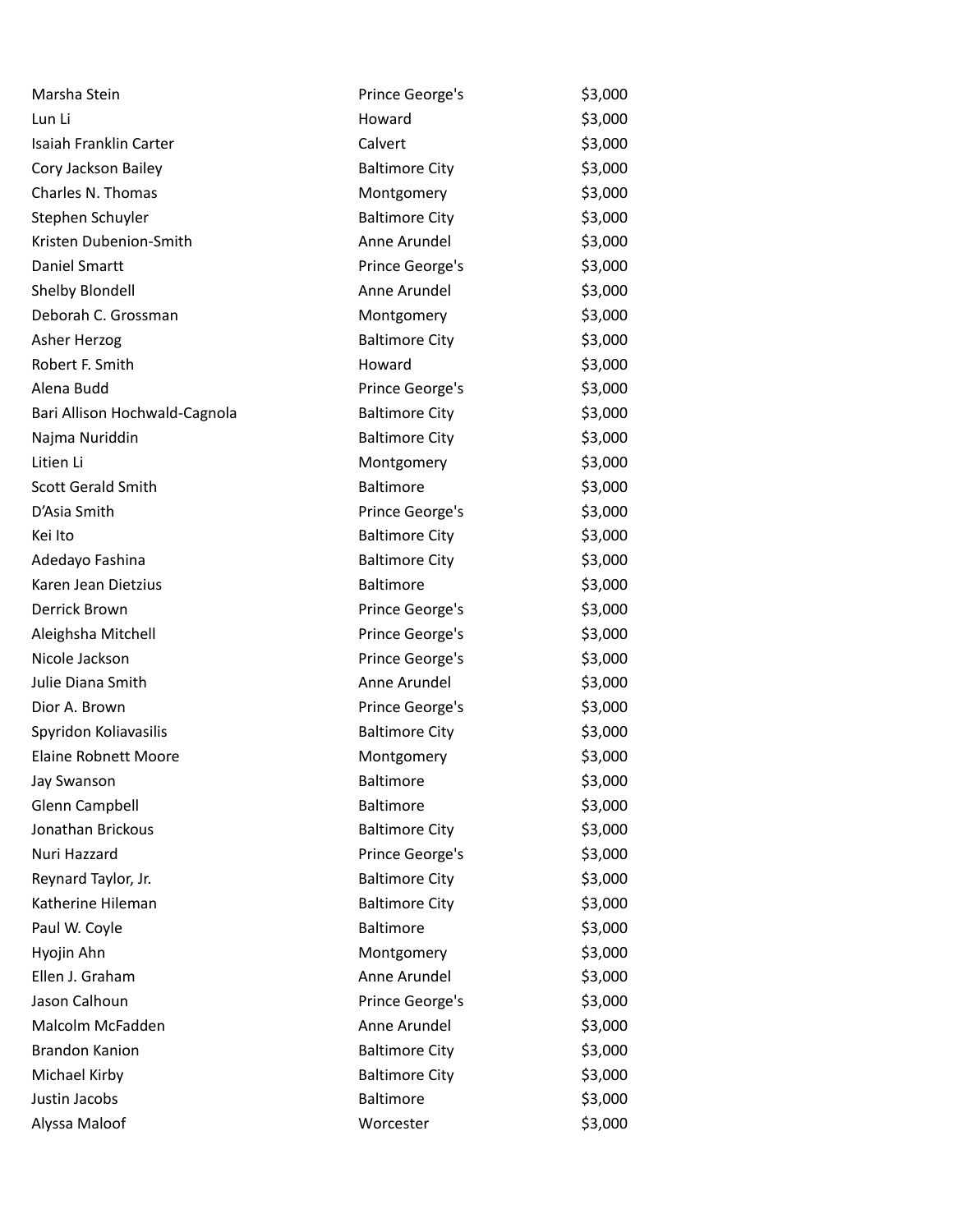| Marsha Stein                  | Prince George's       | \$3,000 |
|-------------------------------|-----------------------|---------|
| Lun Li                        | Howard                | \$3,000 |
| Isaiah Franklin Carter        | Calvert               | \$3,000 |
| Cory Jackson Bailey           | <b>Baltimore City</b> | \$3,000 |
| Charles N. Thomas             | Montgomery            | \$3,000 |
| Stephen Schuyler              | <b>Baltimore City</b> | \$3,000 |
| Kristen Dubenion-Smith        | Anne Arundel          | \$3,000 |
| Daniel Smartt                 | Prince George's       | \$3,000 |
| Shelby Blondell               | Anne Arundel          | \$3,000 |
| Deborah C. Grossman           | Montgomery            | \$3,000 |
| Asher Herzog                  | <b>Baltimore City</b> | \$3,000 |
| Robert F. Smith               | Howard                | \$3,000 |
| Alena Budd                    | Prince George's       | \$3,000 |
| Bari Allison Hochwald-Cagnola | <b>Baltimore City</b> | \$3,000 |
| Najma Nuriddin                | <b>Baltimore City</b> | \$3,000 |
| Litien Li                     | Montgomery            | \$3,000 |
| <b>Scott Gerald Smith</b>     | <b>Baltimore</b>      | \$3,000 |
| D'Asia Smith                  | Prince George's       | \$3,000 |
| Kei Ito                       | <b>Baltimore City</b> | \$3,000 |
| Adedayo Fashina               | <b>Baltimore City</b> | \$3,000 |
| Karen Jean Dietzius           | <b>Baltimore</b>      | \$3,000 |
| Derrick Brown                 | Prince George's       | \$3,000 |
| Aleighsha Mitchell            | Prince George's       | \$3,000 |
| Nicole Jackson                | Prince George's       | \$3,000 |
| Julie Diana Smith             | Anne Arundel          | \$3,000 |
| Dior A. Brown                 | Prince George's       | \$3,000 |
| Spyridon Koliavasilis         | <b>Baltimore City</b> | \$3,000 |
| <b>Elaine Robnett Moore</b>   | Montgomery            | \$3,000 |
| Jay Swanson                   | <b>Baltimore</b>      | \$3,000 |
| Glenn Campbell                | <b>Baltimore</b>      | \$3,000 |
| Jonathan Brickous             | <b>Baltimore City</b> | \$3,000 |
| Nuri Hazzard                  | Prince George's       | \$3,000 |
| Reynard Taylor, Jr.           | <b>Baltimore City</b> | \$3,000 |
| Katherine Hileman             | <b>Baltimore City</b> | \$3,000 |
| Paul W. Coyle                 | Baltimore             | \$3,000 |
| Hyojin Ahn                    | Montgomery            | \$3,000 |
| Ellen J. Graham               | Anne Arundel          | \$3,000 |
| Jason Calhoun                 | Prince George's       | \$3,000 |
| Malcolm McFadden              | Anne Arundel          | \$3,000 |
| <b>Brandon Kanion</b>         | <b>Baltimore City</b> | \$3,000 |
| Michael Kirby                 | <b>Baltimore City</b> | \$3,000 |
| Justin Jacobs                 | Baltimore             | \$3,000 |
| Alyssa Maloof                 | Worcester             | \$3,000 |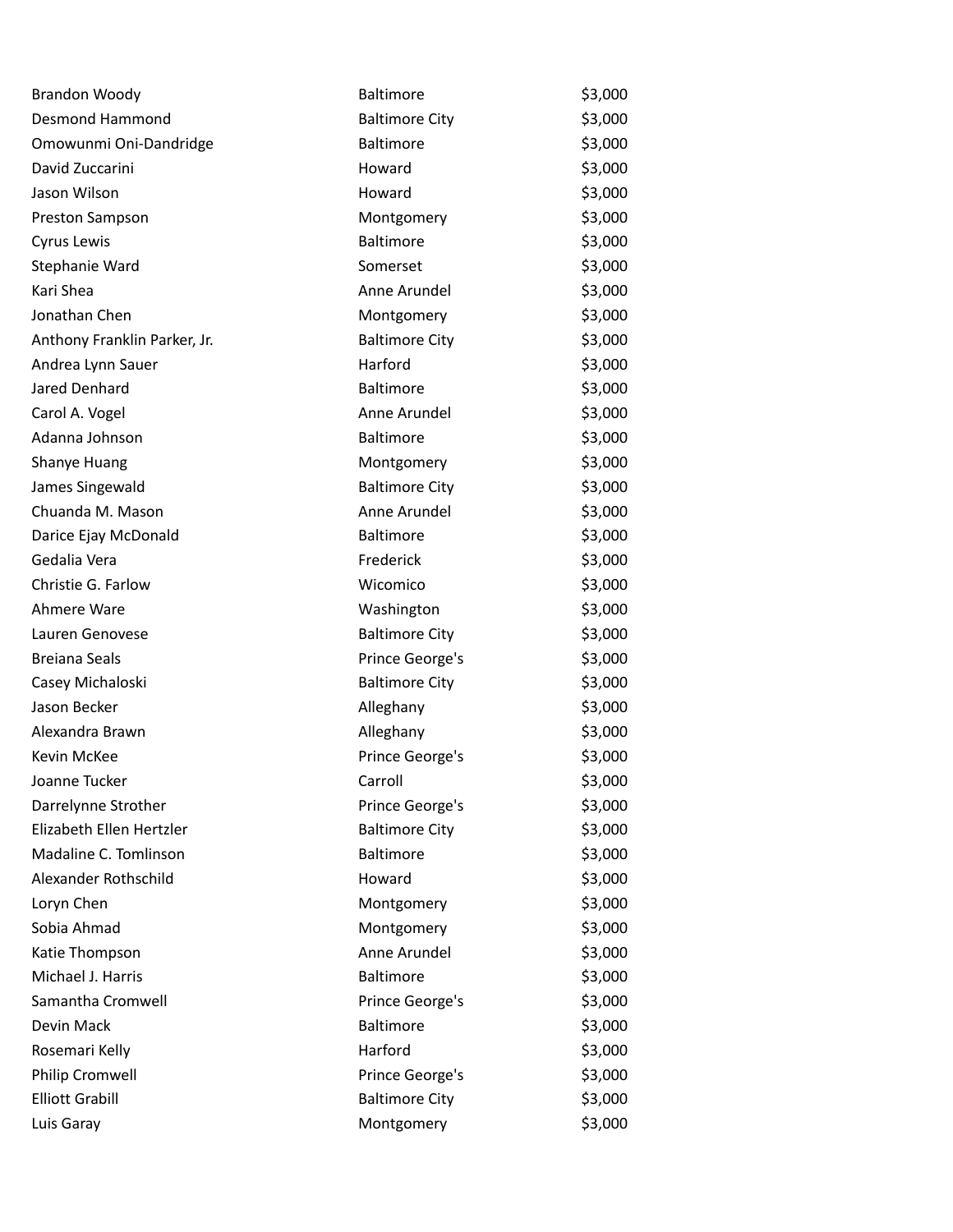| <b>Brandon Woody</b>         | Baltimore             | \$3,000 |
|------------------------------|-----------------------|---------|
| <b>Desmond Hammond</b>       | <b>Baltimore City</b> | \$3,000 |
| Omowunmi Oni-Dandridge       | <b>Baltimore</b>      | \$3,000 |
| David Zuccarini              | Howard                | \$3,000 |
| Jason Wilson                 | Howard                | \$3,000 |
| Preston Sampson              | Montgomery            | \$3,000 |
| Cyrus Lewis                  | <b>Baltimore</b>      | \$3,000 |
| Stephanie Ward               | Somerset              | \$3,000 |
| Kari Shea                    | Anne Arundel          | \$3,000 |
| Jonathan Chen                | Montgomery            | \$3,000 |
| Anthony Franklin Parker, Jr. | <b>Baltimore City</b> | \$3,000 |
| Andrea Lynn Sauer            | Harford               | \$3,000 |
| Jared Denhard                | <b>Baltimore</b>      | \$3,000 |
| Carol A. Vogel               | Anne Arundel          | \$3,000 |
| Adanna Johnson               | Baltimore             | \$3,000 |
| Shanye Huang                 | Montgomery            | \$3,000 |
| James Singewald              | <b>Baltimore City</b> | \$3,000 |
| Chuanda M. Mason             | Anne Arundel          | \$3,000 |
| Darice Ejay McDonald         | <b>Baltimore</b>      | \$3,000 |
| Gedalia Vera                 | Frederick             | \$3,000 |
| Christie G. Farlow           | Wicomico              | \$3,000 |
| Ahmere Ware                  | Washington            | \$3,000 |
| Lauren Genovese              | <b>Baltimore City</b> | \$3,000 |
| <b>Breiana Seals</b>         | Prince George's       | \$3,000 |
| Casey Michaloski             | <b>Baltimore City</b> | \$3,000 |
| Jason Becker                 | Alleghany             | \$3,000 |
| Alexandra Brawn              | Alleghany             | \$3,000 |
| Kevin McKee                  | Prince George's       | \$3,000 |
| Joanne Tucker                | Carroll               | \$3,000 |
| Darrelynne Strother          | Prince George's       | \$3,000 |
| Elizabeth Ellen Hertzler     | <b>Baltimore City</b> | \$3,000 |
| Madaline C. Tomlinson        | Baltimore             | \$3,000 |
| Alexander Rothschild         | Howard                | \$3,000 |
| Loryn Chen                   | Montgomery            | \$3,000 |
| Sobia Ahmad                  | Montgomery            | \$3,000 |
| Katie Thompson               | Anne Arundel          | \$3,000 |
| Michael J. Harris            | Baltimore             | \$3,000 |
| Samantha Cromwell            | Prince George's       | \$3,000 |
| Devin Mack                   | Baltimore             | \$3,000 |
| Rosemari Kelly               | Harford               | \$3,000 |
| Philip Cromwell              | Prince George's       | \$3,000 |
| <b>Elliott Grabill</b>       | <b>Baltimore City</b> | \$3,000 |
| Luis Garay                   | Montgomery            | \$3,000 |
|                              |                       |         |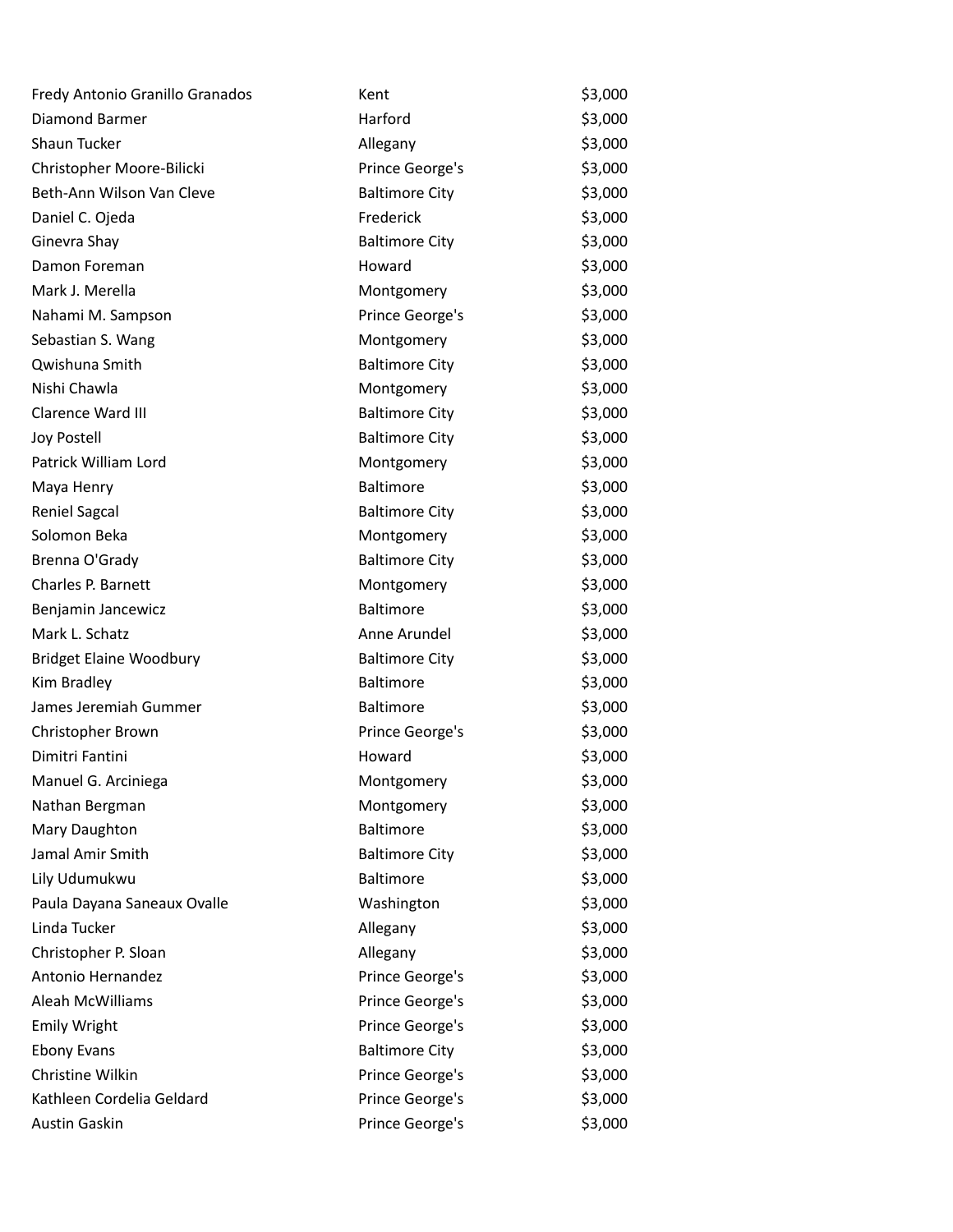| Fredy Antonio Granillo Granados | Kent                  | \$3,000 |
|---------------------------------|-----------------------|---------|
| Diamond Barmer                  | Harford               | \$3,000 |
| Shaun Tucker                    | Allegany              | \$3,000 |
| Christopher Moore-Bilicki       | Prince George's       | \$3,000 |
| Beth-Ann Wilson Van Cleve       | <b>Baltimore City</b> | \$3,000 |
| Daniel C. Ojeda                 | Frederick             | \$3,000 |
| Ginevra Shay                    | <b>Baltimore City</b> | \$3,000 |
| Damon Foreman                   | Howard                | \$3,000 |
| Mark J. Merella                 | Montgomery            | \$3,000 |
| Nahami M. Sampson               | Prince George's       | \$3,000 |
| Sebastian S. Wang               | Montgomery            | \$3,000 |
| Qwishuna Smith                  | <b>Baltimore City</b> | \$3,000 |
| Nishi Chawla                    | Montgomery            | \$3,000 |
| Clarence Ward III               | <b>Baltimore City</b> | \$3,000 |
| Joy Postell                     | <b>Baltimore City</b> | \$3,000 |
| Patrick William Lord            | Montgomery            | \$3,000 |
| Maya Henry                      | <b>Baltimore</b>      | \$3,000 |
| <b>Reniel Sagcal</b>            | <b>Baltimore City</b> | \$3,000 |
| Solomon Beka                    | Montgomery            | \$3,000 |
| Brenna O'Grady                  | <b>Baltimore City</b> | \$3,000 |
| Charles P. Barnett              | Montgomery            | \$3,000 |
| Benjamin Jancewicz              | <b>Baltimore</b>      | \$3,000 |
| Mark L. Schatz                  | Anne Arundel          | \$3,000 |
| <b>Bridget Elaine Woodbury</b>  | <b>Baltimore City</b> | \$3,000 |
| Kim Bradley                     | <b>Baltimore</b>      | \$3,000 |
| James Jeremiah Gummer           | Baltimore             | \$3,000 |
| Christopher Brown               | Prince George's       | \$3,000 |
| Dimitri Fantini                 | Howard                | \$3,000 |
| Manuel G. Arciniega             | Montgomery            | \$3,000 |
| Nathan Bergman                  | Montgomery            | \$3,000 |
| Mary Daughton                   | Baltimore             | \$3,000 |
| Jamal Amir Smith                | <b>Baltimore City</b> | \$3,000 |
| Lily Udumukwu                   | Baltimore             | \$3,000 |
| Paula Dayana Saneaux Ovalle     | Washington            | \$3,000 |
| Linda Tucker                    | Allegany              | \$3,000 |
| Christopher P. Sloan            | Allegany              | \$3,000 |
| Antonio Hernandez               | Prince George's       | \$3,000 |
| Aleah McWilliams                | Prince George's       | \$3,000 |
| <b>Emily Wright</b>             | Prince George's       | \$3,000 |
| <b>Ebony Evans</b>              | <b>Baltimore City</b> | \$3,000 |
| Christine Wilkin                | Prince George's       | \$3,000 |
| Kathleen Cordelia Geldard       | Prince George's       | \$3,000 |
| Austin Gaskin                   | Prince George's       | \$3,000 |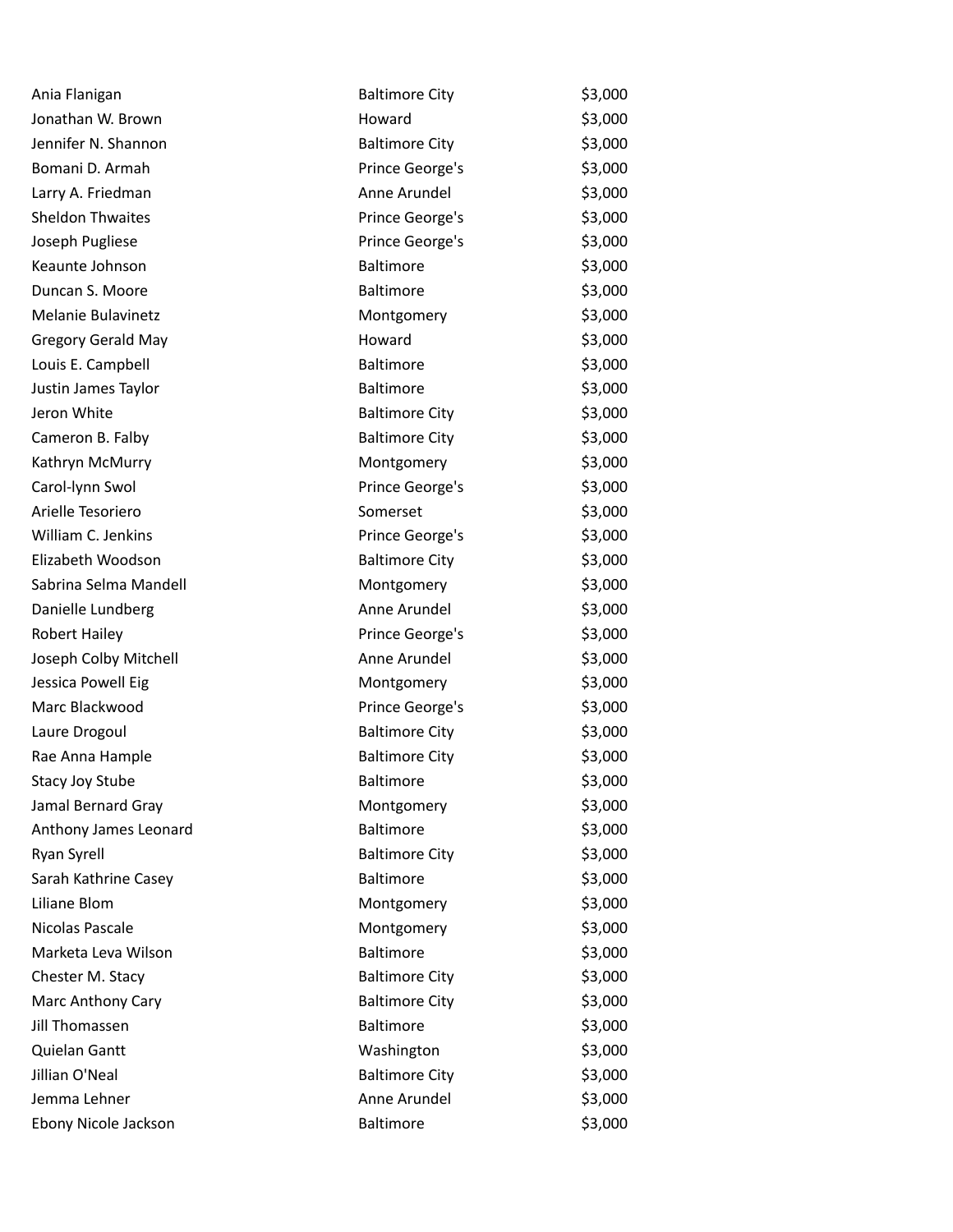| Ania Flanigan             | <b>Baltimore City</b> | \$3,000 |
|---------------------------|-----------------------|---------|
| Jonathan W. Brown         | Howard                | \$3,000 |
| Jennifer N. Shannon       | <b>Baltimore City</b> | \$3,000 |
| Bomani D. Armah           | Prince George's       | \$3,000 |
| Larry A. Friedman         | Anne Arundel          | \$3,000 |
| <b>Sheldon Thwaites</b>   | Prince George's       | \$3,000 |
| Joseph Pugliese           | Prince George's       | \$3,000 |
| Keaunte Johnson           | <b>Baltimore</b>      | \$3,000 |
| Duncan S. Moore           | Baltimore             | \$3,000 |
| Melanie Bulavinetz        | Montgomery            | \$3,000 |
| <b>Gregory Gerald May</b> | Howard                | \$3,000 |
| Louis E. Campbell         | Baltimore             | \$3,000 |
| Justin James Taylor       | Baltimore             | \$3,000 |
| Jeron White               | <b>Baltimore City</b> | \$3,000 |
| Cameron B. Falby          | <b>Baltimore City</b> | \$3,000 |
| Kathryn McMurry           | Montgomery            | \$3,000 |
| Carol-lynn Swol           | Prince George's       | \$3,000 |
| Arielle Tesoriero         | Somerset              | \$3,000 |
| William C. Jenkins        | Prince George's       | \$3,000 |
| Elizabeth Woodson         | <b>Baltimore City</b> | \$3,000 |
| Sabrina Selma Mandell     | Montgomery            | \$3,000 |
| Danielle Lundberg         | Anne Arundel          | \$3,000 |
| <b>Robert Hailey</b>      | Prince George's       | \$3,000 |
| Joseph Colby Mitchell     | Anne Arundel          | \$3,000 |
| Jessica Powell Eig        | Montgomery            | \$3,000 |
| Marc Blackwood            | Prince George's       | \$3,000 |
| Laure Drogoul             | <b>Baltimore City</b> | \$3,000 |
| Rae Anna Hample           | <b>Baltimore City</b> | \$3,000 |
| <b>Stacy Joy Stube</b>    | <b>Baltimore</b>      | \$3,000 |
| Jamal Bernard Gray        | Montgomery            | \$3,000 |
| Anthony James Leonard     | <b>Baltimore</b>      | \$3,000 |
| Ryan Syrell               | <b>Baltimore City</b> | \$3,000 |
| Sarah Kathrine Casey      | Baltimore             | \$3,000 |
| Liliane Blom              | Montgomery            | \$3,000 |
| Nicolas Pascale           | Montgomery            | \$3,000 |
| Marketa Leva Wilson       | <b>Baltimore</b>      | \$3,000 |
| Chester M. Stacy          | <b>Baltimore City</b> | \$3,000 |
| Marc Anthony Cary         | <b>Baltimore City</b> | \$3,000 |
| Jill Thomassen            | <b>Baltimore</b>      | \$3,000 |
| Quielan Gantt             | Washington            | \$3,000 |
| Jillian O'Neal            | <b>Baltimore City</b> | \$3,000 |
| Jemma Lehner              | Anne Arundel          | \$3,000 |
| Ebony Nicole Jackson      | Baltimore             | \$3,000 |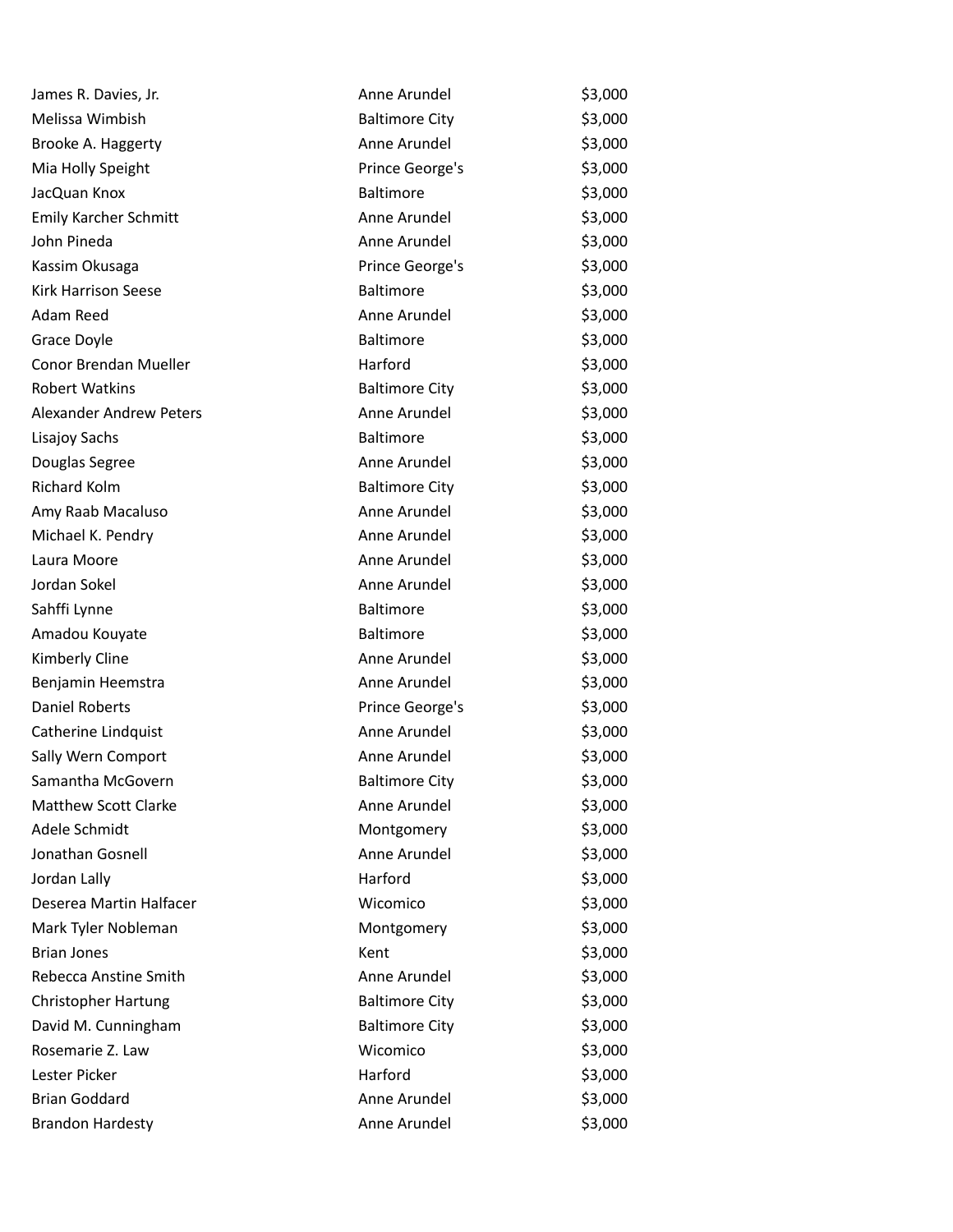| James R. Davies, Jr.           | Anne Arundel          | \$3,000 |
|--------------------------------|-----------------------|---------|
| Melissa Wimbish                | <b>Baltimore City</b> | \$3,000 |
| Brooke A. Haggerty             | Anne Arundel          | \$3,000 |
| Mia Holly Speight              | Prince George's       | \$3,000 |
| JacQuan Knox                   | <b>Baltimore</b>      | \$3,000 |
| Emily Karcher Schmitt          | Anne Arundel          | \$3,000 |
| John Pineda                    | Anne Arundel          | \$3,000 |
| Kassim Okusaga                 | Prince George's       | \$3,000 |
| Kirk Harrison Seese            | <b>Baltimore</b>      | \$3,000 |
| Adam Reed                      | Anne Arundel          | \$3,000 |
| Grace Doyle                    | <b>Baltimore</b>      | \$3,000 |
| Conor Brendan Mueller          | Harford               | \$3,000 |
| <b>Robert Watkins</b>          | <b>Baltimore City</b> | \$3,000 |
| <b>Alexander Andrew Peters</b> | Anne Arundel          | \$3,000 |
| Lisajoy Sachs                  | <b>Baltimore</b>      | \$3,000 |
| Douglas Segree                 | Anne Arundel          | \$3,000 |
| <b>Richard Kolm</b>            | <b>Baltimore City</b> | \$3,000 |
| Amy Raab Macaluso              | Anne Arundel          | \$3,000 |
| Michael K. Pendry              | Anne Arundel          | \$3,000 |
| Laura Moore                    | Anne Arundel          | \$3,000 |
| Jordan Sokel                   | Anne Arundel          | \$3,000 |
| Sahffi Lynne                   | <b>Baltimore</b>      | \$3,000 |
| Amadou Kouyate                 | <b>Baltimore</b>      | \$3,000 |
| Kimberly Cline                 | Anne Arundel          | \$3,000 |
| Benjamin Heemstra              | Anne Arundel          | \$3,000 |
| <b>Daniel Roberts</b>          | Prince George's       | \$3,000 |
| Catherine Lindquist            | Anne Arundel          | \$3,000 |
| Sally Wern Comport             | Anne Arundel          | \$3,000 |
| Samantha McGovern              | <b>Baltimore City</b> | \$3,000 |
| <b>Matthew Scott Clarke</b>    | Anne Arundel          | \$3,000 |
| Adele Schmidt                  | Montgomery            | \$3,000 |
| Jonathan Gosnell               | Anne Arundel          | \$3,000 |
| Jordan Lally                   | Harford               | \$3,000 |
| Deserea Martin Halfacer        | Wicomico              | \$3,000 |
| Mark Tyler Nobleman            | Montgomery            | \$3,000 |
| <b>Brian Jones</b>             | Kent                  | \$3,000 |
| Rebecca Anstine Smith          | Anne Arundel          | \$3,000 |
| <b>Christopher Hartung</b>     | <b>Baltimore City</b> | \$3,000 |
| David M. Cunningham            | <b>Baltimore City</b> | \$3,000 |
| Rosemarie Z. Law               | Wicomico              | \$3,000 |
| Lester Picker                  | Harford               | \$3,000 |
| <b>Brian Goddard</b>           | Anne Arundel          | \$3,000 |
| <b>Brandon Hardesty</b>        | Anne Arundel          | \$3,000 |
|                                |                       |         |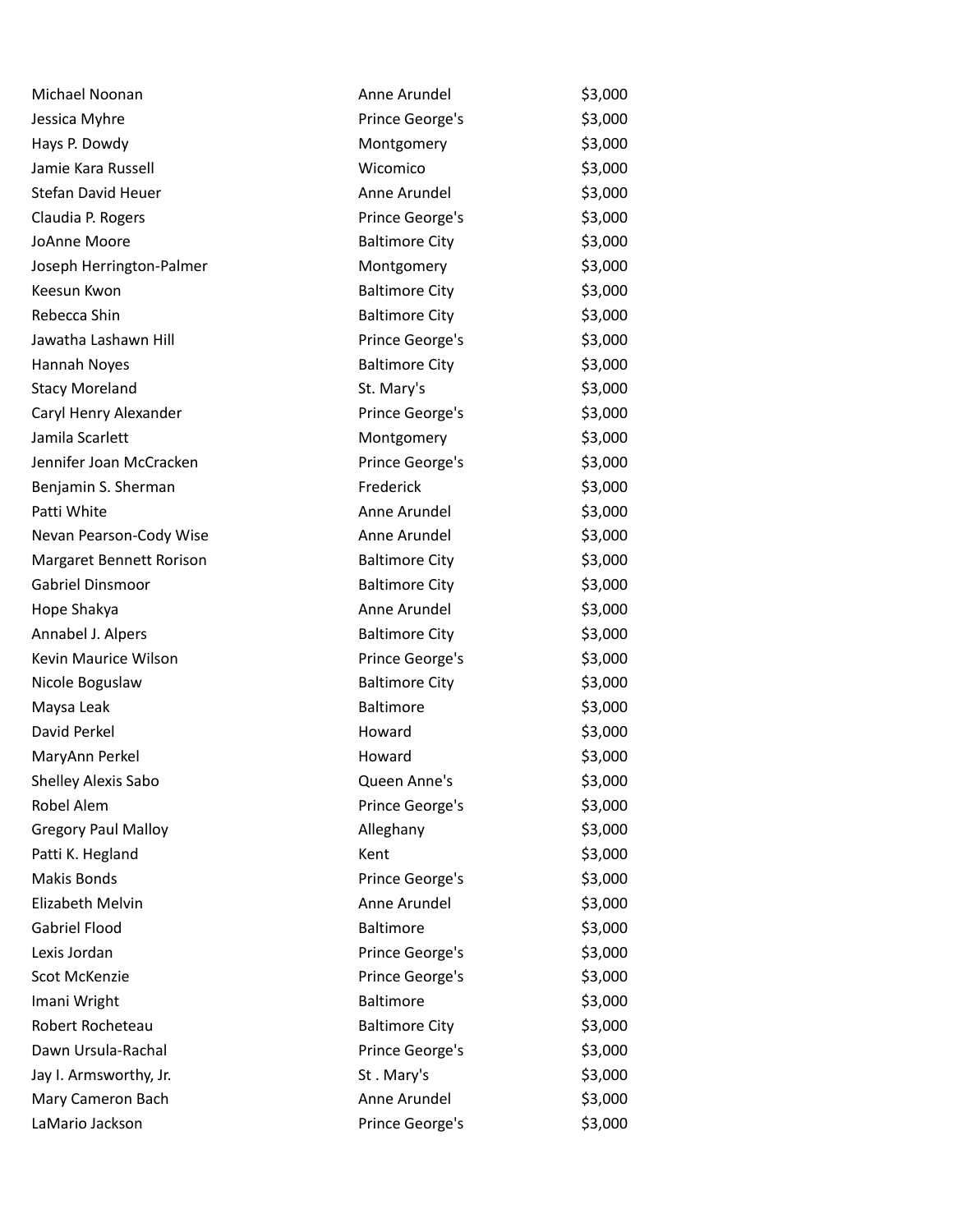| Michael Noonan             | Anne Arundel          | \$3,000 |
|----------------------------|-----------------------|---------|
| Jessica Myhre              | Prince George's       | \$3,000 |
| Hays P. Dowdy              | Montgomery            | \$3,000 |
| Jamie Kara Russell         | Wicomico              | \$3,000 |
| Stefan David Heuer         | Anne Arundel          | \$3,000 |
| Claudia P. Rogers          | Prince George's       | \$3,000 |
| JoAnne Moore               | <b>Baltimore City</b> | \$3,000 |
| Joseph Herrington-Palmer   | Montgomery            | \$3,000 |
| Keesun Kwon                | <b>Baltimore City</b> | \$3,000 |
| Rebecca Shin               | <b>Baltimore City</b> | \$3,000 |
| Jawatha Lashawn Hill       | Prince George's       | \$3,000 |
| Hannah Noyes               | <b>Baltimore City</b> | \$3,000 |
| <b>Stacy Moreland</b>      | St. Mary's            | \$3,000 |
| Caryl Henry Alexander      | Prince George's       | \$3,000 |
| Jamila Scarlett            | Montgomery            | \$3,000 |
| Jennifer Joan McCracken    | Prince George's       | \$3,000 |
| Benjamin S. Sherman        | Frederick             | \$3,000 |
| Patti White                | Anne Arundel          | \$3,000 |
| Nevan Pearson-Cody Wise    | Anne Arundel          | \$3,000 |
| Margaret Bennett Rorison   | <b>Baltimore City</b> | \$3,000 |
| Gabriel Dinsmoor           | <b>Baltimore City</b> | \$3,000 |
| Hope Shakya                | Anne Arundel          | \$3,000 |
| Annabel J. Alpers          | <b>Baltimore City</b> | \$3,000 |
| Kevin Maurice Wilson       | Prince George's       | \$3,000 |
| Nicole Boguslaw            | <b>Baltimore City</b> | \$3,000 |
| Maysa Leak                 | Baltimore             | \$3,000 |
| David Perkel               | Howard                | \$3,000 |
| MaryAnn Perkel             | Howard                | \$3,000 |
| Shelley Alexis Sabo        | Queen Anne's          | \$3,000 |
| Robel Alem                 | Prince George's       | \$3,000 |
| <b>Gregory Paul Malloy</b> | Alleghany             | \$3,000 |
| Patti K. Hegland           | Kent                  | \$3,000 |
| <b>Makis Bonds</b>         | Prince George's       | \$3,000 |
| Elizabeth Melvin           | Anne Arundel          | \$3,000 |
| Gabriel Flood              | Baltimore             | \$3,000 |
| Lexis Jordan               | Prince George's       | \$3,000 |
| Scot McKenzie              | Prince George's       | \$3,000 |
| Imani Wright               | Baltimore             | \$3,000 |
| Robert Rocheteau           | <b>Baltimore City</b> | \$3,000 |
| Dawn Ursula-Rachal         | Prince George's       | \$3,000 |
| Jay I. Armsworthy, Jr.     | St. Mary's            | \$3,000 |
| Mary Cameron Bach          | Anne Arundel          | \$3,000 |
| LaMario Jackson            | Prince George's       | \$3,000 |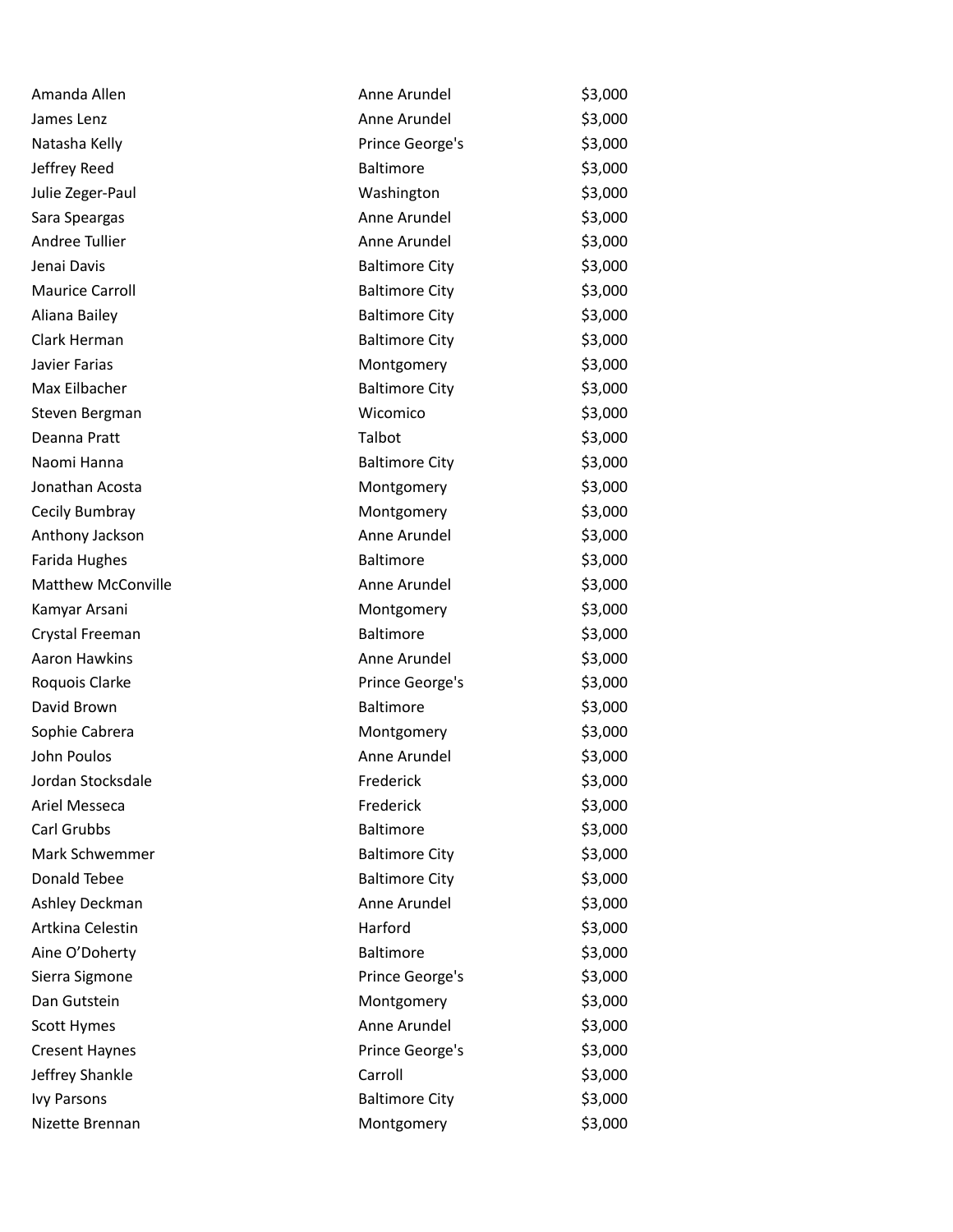| Amanda Allen              | Anne Arundel          | \$3,000 |
|---------------------------|-----------------------|---------|
| James Lenz                | Anne Arundel          | \$3,000 |
| Natasha Kelly             | Prince George's       | \$3,000 |
| Jeffrey Reed              | Baltimore             | \$3,000 |
| Julie Zeger-Paul          | Washington            | \$3,000 |
| Sara Speargas             | Anne Arundel          | \$3,000 |
| Andree Tullier            | Anne Arundel          | \$3,000 |
| Jenai Davis               | <b>Baltimore City</b> | \$3,000 |
| <b>Maurice Carroll</b>    | <b>Baltimore City</b> | \$3,000 |
| Aliana Bailey             | <b>Baltimore City</b> | \$3,000 |
| Clark Herman              | <b>Baltimore City</b> | \$3,000 |
| Javier Farias             | Montgomery            | \$3,000 |
| Max Eilbacher             | <b>Baltimore City</b> | \$3,000 |
| Steven Bergman            | Wicomico              | \$3,000 |
| Deanna Pratt              | Talbot                | \$3,000 |
| Naomi Hanna               | <b>Baltimore City</b> | \$3,000 |
| Jonathan Acosta           | Montgomery            | \$3,000 |
| Cecily Bumbray            | Montgomery            | \$3,000 |
| Anthony Jackson           | Anne Arundel          | \$3,000 |
| Farida Hughes             | <b>Baltimore</b>      | \$3,000 |
| <b>Matthew McConville</b> | Anne Arundel          | \$3,000 |
| Kamyar Arsani             | Montgomery            | \$3,000 |
| Crystal Freeman           | <b>Baltimore</b>      | \$3,000 |
| Aaron Hawkins             | Anne Arundel          | \$3,000 |
| Roquois Clarke            | Prince George's       | \$3,000 |
| David Brown               | <b>Baltimore</b>      | \$3,000 |
| Sophie Cabrera            | Montgomery            | \$3,000 |
| John Poulos               | Anne Arundel          | \$3,000 |
| Jordan Stocksdale         | Frederick             | \$3,000 |
| Ariel Messeca             | Frederick             | \$3,000 |
| Carl Grubbs               | <b>Baltimore</b>      | \$3,000 |
| Mark Schwemmer            | <b>Baltimore City</b> | \$3,000 |
| Donald Tebee              | <b>Baltimore City</b> | \$3,000 |
| Ashley Deckman            | Anne Arundel          | \$3,000 |
| Artkina Celestin          | Harford               | \$3,000 |
| Aine O'Doherty            | Baltimore             | \$3,000 |
| Sierra Sigmone            | Prince George's       | \$3,000 |
| Dan Gutstein              | Montgomery            | \$3,000 |
| Scott Hymes               | Anne Arundel          | \$3,000 |
| <b>Cresent Haynes</b>     | Prince George's       | \$3,000 |
| Jeffrey Shankle           | Carroll               | \$3,000 |
| <b>Ivy Parsons</b>        | <b>Baltimore City</b> | \$3,000 |
| Nizette Brennan           | Montgomery            | \$3,000 |
|                           |                       |         |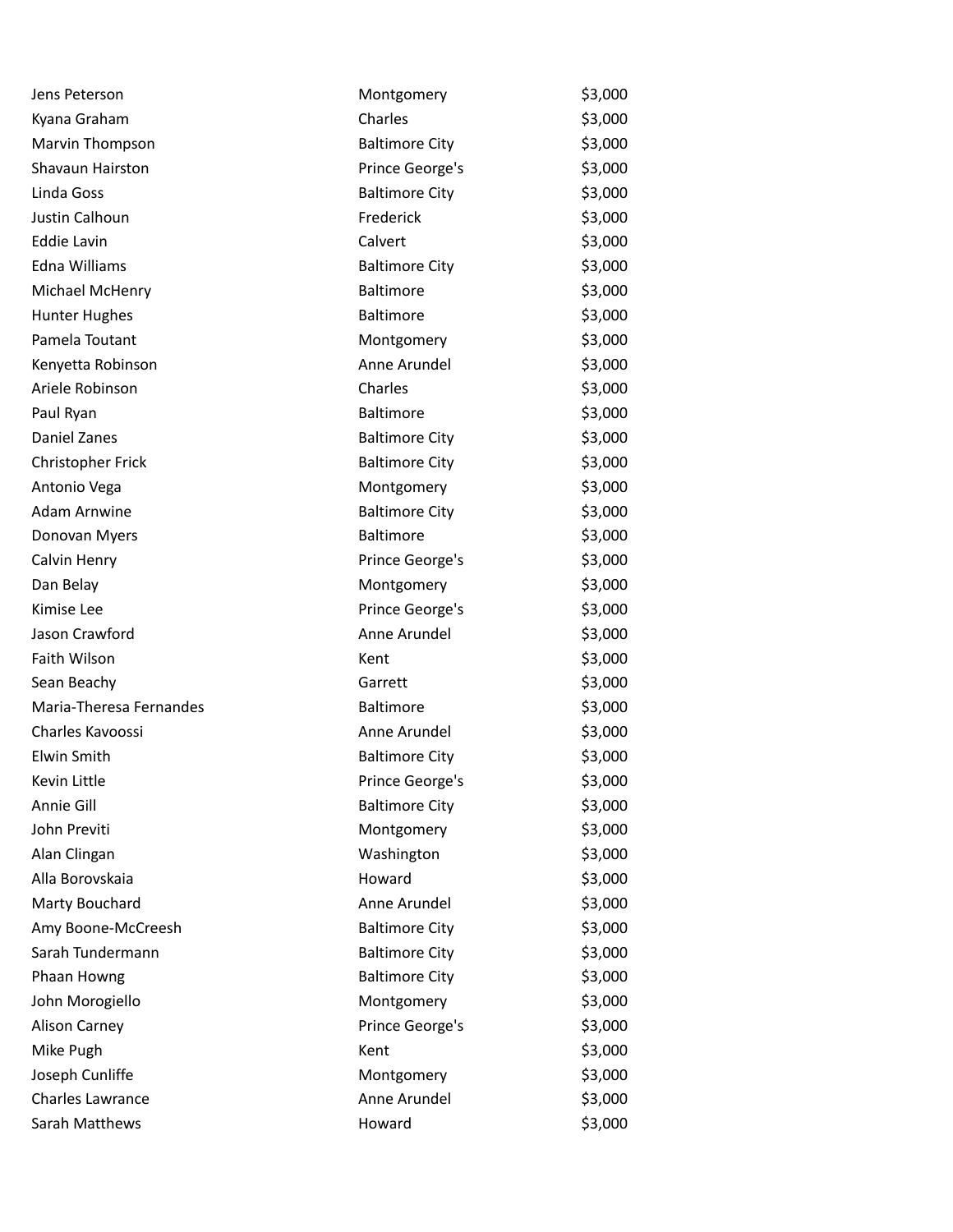| Jens Peterson           | Montgomery            | \$3,000 |
|-------------------------|-----------------------|---------|
| Kyana Graham            | Charles               | \$3,000 |
| Marvin Thompson         | <b>Baltimore City</b> | \$3,000 |
| Shavaun Hairston        | Prince George's       | \$3,000 |
| Linda Goss              | <b>Baltimore City</b> | \$3,000 |
| Justin Calhoun          | Frederick             | \$3,000 |
| <b>Eddie Lavin</b>      | Calvert               | \$3,000 |
| Edna Williams           | <b>Baltimore City</b> | \$3,000 |
| Michael McHenry         | Baltimore             | \$3,000 |
| <b>Hunter Hughes</b>    | Baltimore             | \$3,000 |
| Pamela Toutant          | Montgomery            | \$3,000 |
| Kenyetta Robinson       | Anne Arundel          | \$3,000 |
| Ariele Robinson         | Charles               | \$3,000 |
| Paul Ryan               | <b>Baltimore</b>      | \$3,000 |
| Daniel Zanes            | <b>Baltimore City</b> | \$3,000 |
| Christopher Frick       | <b>Baltimore City</b> | \$3,000 |
| Antonio Vega            | Montgomery            | \$3,000 |
| <b>Adam Arnwine</b>     | <b>Baltimore City</b> | \$3,000 |
| Donovan Myers           | <b>Baltimore</b>      | \$3,000 |
| Calvin Henry            | Prince George's       | \$3,000 |
| Dan Belay               | Montgomery            | \$3,000 |
| Kimise Lee              | Prince George's       | \$3,000 |
| Jason Crawford          | Anne Arundel          | \$3,000 |
| Faith Wilson            | Kent                  | \$3,000 |
| Sean Beachy             | Garrett               | \$3,000 |
| Maria-Theresa Fernandes | <b>Baltimore</b>      | \$3,000 |
| Charles Kavoossi        | Anne Arundel          | \$3,000 |
| Elwin Smith             | <b>Baltimore City</b> | \$3,000 |
| Kevin Little            | Prince George's       | \$3,000 |
| Annie Gill              | <b>Baltimore City</b> | \$3,000 |
| John Previti            | Montgomery            | \$3,000 |
| Alan Clingan            | Washington            | \$3,000 |
| Alla Borovskaia         | Howard                | \$3,000 |
| Marty Bouchard          | Anne Arundel          | \$3,000 |
| Amy Boone-McCreesh      | <b>Baltimore City</b> | \$3,000 |
| Sarah Tundermann        | <b>Baltimore City</b> | \$3,000 |
| Phaan Howng             | <b>Baltimore City</b> | \$3,000 |
| John Morogiello         | Montgomery            | \$3,000 |
| <b>Alison Carney</b>    | Prince George's       | \$3,000 |
| Mike Pugh               | Kent                  | \$3,000 |
| Joseph Cunliffe         | Montgomery            | \$3,000 |
| <b>Charles Lawrance</b> | Anne Arundel          | \$3,000 |
| Sarah Matthews          | Howard                | \$3,000 |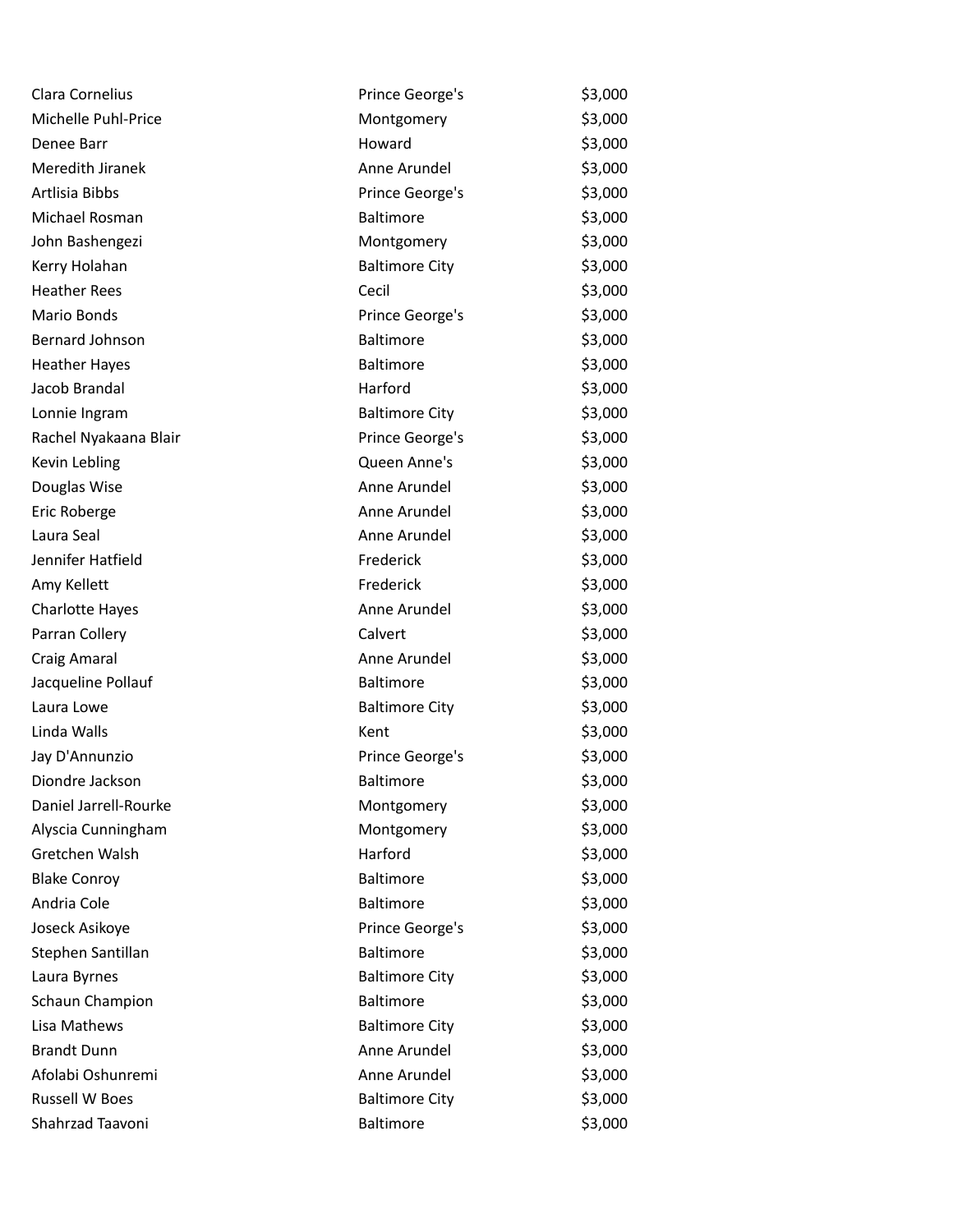| Clara Cornelius        | Prince George's       | \$3,000 |
|------------------------|-----------------------|---------|
| Michelle Puhl-Price    | Montgomery            | \$3,000 |
| Denee Barr             | Howard                | \$3,000 |
| Meredith Jiranek       | Anne Arundel          | \$3,000 |
| Artlisia Bibbs         | Prince George's       | \$3,000 |
| Michael Rosman         | <b>Baltimore</b>      | \$3,000 |
| John Bashengezi        | Montgomery            | \$3,000 |
| Kerry Holahan          | <b>Baltimore City</b> | \$3,000 |
| <b>Heather Rees</b>    | Cecil                 | \$3,000 |
| Mario Bonds            | Prince George's       | \$3,000 |
| <b>Bernard Johnson</b> | <b>Baltimore</b>      | \$3,000 |
| <b>Heather Hayes</b>   | Baltimore             | \$3,000 |
| Jacob Brandal          | Harford               | \$3,000 |
| Lonnie Ingram          | <b>Baltimore City</b> | \$3,000 |
| Rachel Nyakaana Blair  | Prince George's       | \$3,000 |
| Kevin Lebling          | Queen Anne's          | \$3,000 |
| Douglas Wise           | Anne Arundel          | \$3,000 |
| Eric Roberge           | Anne Arundel          | \$3,000 |
| Laura Seal             | Anne Arundel          | \$3,000 |
| Jennifer Hatfield      | Frederick             | \$3,000 |
| Amy Kellett            | Frederick             | \$3,000 |
| <b>Charlotte Hayes</b> | Anne Arundel          | \$3,000 |
| Parran Collery         | Calvert               | \$3,000 |
| Craig Amaral           | Anne Arundel          | \$3,000 |
| Jacqueline Pollauf     | <b>Baltimore</b>      | \$3,000 |
| Laura Lowe             | <b>Baltimore City</b> | \$3,000 |
| Linda Walls            | Kent                  | \$3,000 |
| Jay D'Annunzio         | Prince George's       | \$3,000 |
| Diondre Jackson        | <b>Baltimore</b>      | \$3,000 |
| Daniel Jarrell-Rourke  | Montgomery            | \$3,000 |
| Alyscia Cunningham     | Montgomery            | \$3,000 |
| Gretchen Walsh         | Harford               | \$3,000 |
| <b>Blake Conroy</b>    | Baltimore             | \$3,000 |
| Andria Cole            | Baltimore             | \$3,000 |
| Joseck Asikoye         | Prince George's       | \$3,000 |
| Stephen Santillan      | <b>Baltimore</b>      | \$3,000 |
| Laura Byrnes           | <b>Baltimore City</b> | \$3,000 |
| Schaun Champion        | Baltimore             | \$3,000 |
| Lisa Mathews           | <b>Baltimore City</b> | \$3,000 |
| <b>Brandt Dunn</b>     | Anne Arundel          | \$3,000 |
| Afolabi Oshunremi      | Anne Arundel          | \$3,000 |
| <b>Russell W Boes</b>  | <b>Baltimore City</b> | \$3,000 |
| Shahrzad Taavoni       | Baltimore             | \$3,000 |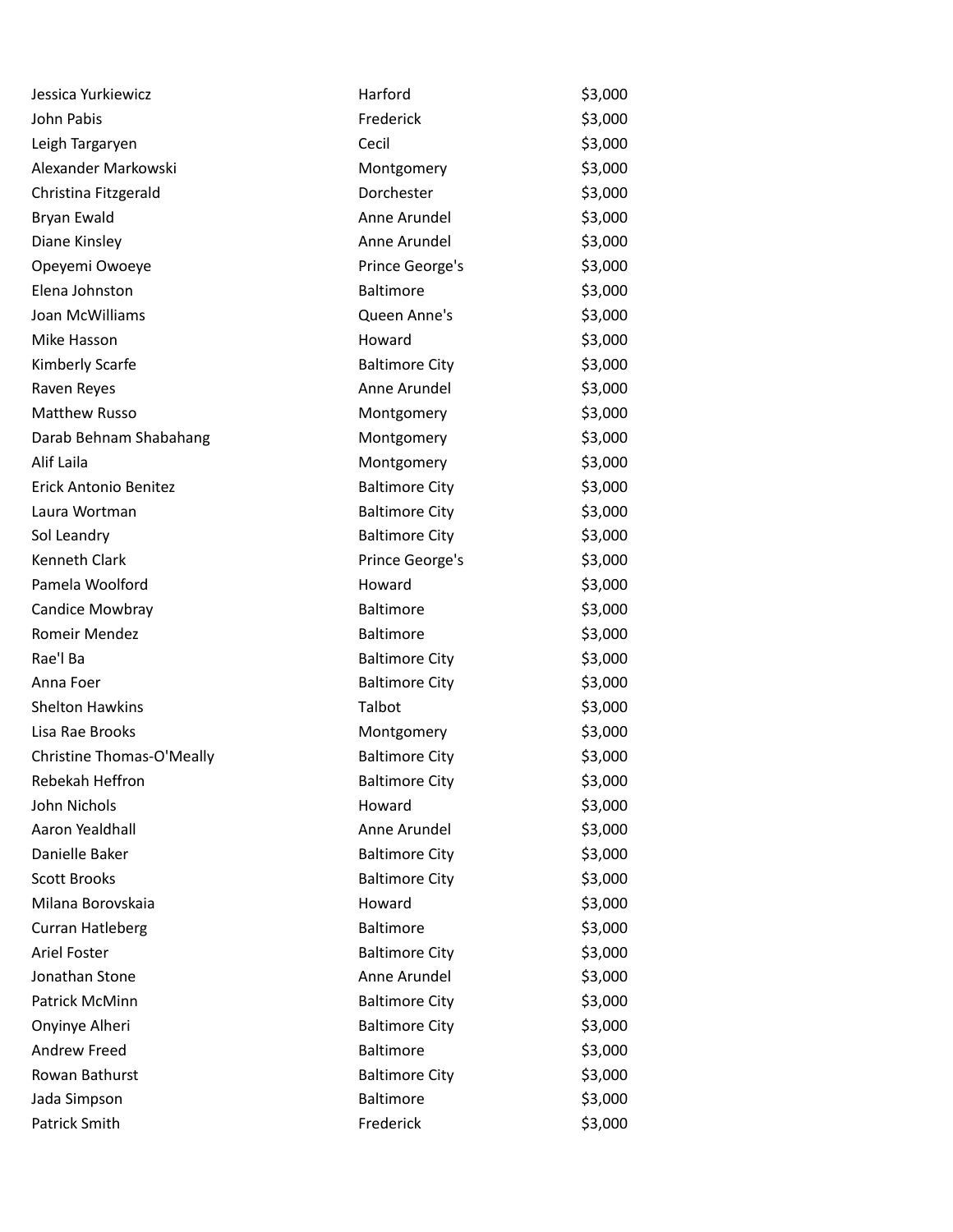| Jessica Yurkiewicz        | Harford               | \$3,000 |
|---------------------------|-----------------------|---------|
| John Pabis                | Frederick             | \$3,000 |
| Leigh Targaryen           | Cecil                 | \$3,000 |
| Alexander Markowski       | Montgomery            | \$3,000 |
| Christina Fitzgerald      | Dorchester            | \$3,000 |
| Bryan Ewald               | Anne Arundel          | \$3,000 |
| Diane Kinsley             | Anne Arundel          | \$3,000 |
| Opeyemi Owoeye            | Prince George's       | \$3,000 |
| Elena Johnston            | <b>Baltimore</b>      | \$3,000 |
| Joan McWilliams           | Queen Anne's          | \$3,000 |
| Mike Hasson               | Howard                | \$3,000 |
| Kimberly Scarfe           | <b>Baltimore City</b> | \$3,000 |
| Raven Reyes               | Anne Arundel          | \$3,000 |
| <b>Matthew Russo</b>      | Montgomery            | \$3,000 |
| Darab Behnam Shabahang    | Montgomery            | \$3,000 |
| Alif Laila                | Montgomery            | \$3,000 |
| Erick Antonio Benitez     | <b>Baltimore City</b> | \$3,000 |
| Laura Wortman             | <b>Baltimore City</b> | \$3,000 |
| Sol Leandry               | <b>Baltimore City</b> | \$3,000 |
| Kenneth Clark             | Prince George's       | \$3,000 |
| Pamela Woolford           | Howard                | \$3,000 |
| Candice Mowbray           | Baltimore             | \$3,000 |
| Romeir Mendez             | Baltimore             | \$3,000 |
| Rae'l Ba                  | <b>Baltimore City</b> | \$3,000 |
| Anna Foer                 | <b>Baltimore City</b> | \$3,000 |
| <b>Shelton Hawkins</b>    | Talbot                | \$3,000 |
| Lisa Rae Brooks           | Montgomery            | \$3,000 |
| Christine Thomas-O'Meally | <b>Baltimore City</b> | \$3,000 |
| Rebekah Heffron           | <b>Baltimore City</b> | \$3,000 |
| John Nichols              | Howard                | \$3,000 |
| Aaron Yealdhall           | Anne Arundel          | \$3,000 |
| Danielle Baker            | <b>Baltimore City</b> | \$3,000 |
| <b>Scott Brooks</b>       | <b>Baltimore City</b> | \$3,000 |
| Milana Borovskaia         | Howard                | \$3,000 |
| <b>Curran Hatleberg</b>   | Baltimore             | \$3,000 |
| Ariel Foster              | <b>Baltimore City</b> | \$3,000 |
| Jonathan Stone            | Anne Arundel          | \$3,000 |
| Patrick McMinn            | <b>Baltimore City</b> | \$3,000 |
| Onyinye Alheri            | <b>Baltimore City</b> | \$3,000 |
| Andrew Freed              | <b>Baltimore</b>      | \$3,000 |
| Rowan Bathurst            | <b>Baltimore City</b> | \$3,000 |
| Jada Simpson              | Baltimore             | \$3,000 |
| Patrick Smith             | Frederick             | \$3,000 |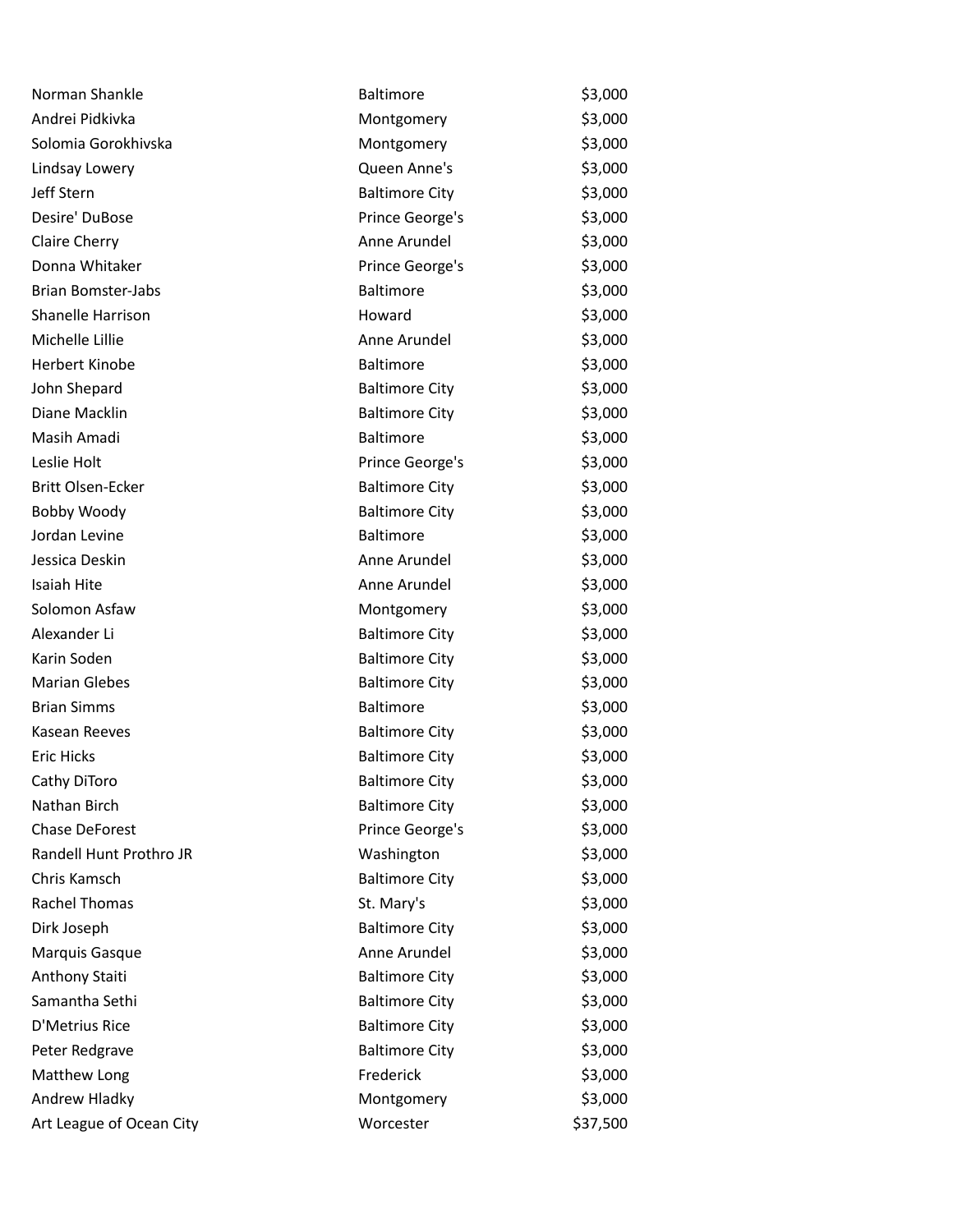| Norman Shankle            | <b>Baltimore</b>      | \$3,000  |
|---------------------------|-----------------------|----------|
| Andrei Pidkivka           | Montgomery            | \$3,000  |
| Solomia Gorokhivska       | Montgomery            | \$3,000  |
| Lindsay Lowery            | Queen Anne's          | \$3,000  |
| Jeff Stern                | <b>Baltimore City</b> | \$3,000  |
| Desire' DuBose            | Prince George's       | \$3,000  |
| Claire Cherry             | Anne Arundel          | \$3,000  |
| Donna Whitaker            | Prince George's       | \$3,000  |
| <b>Brian Bomster-Jabs</b> | <b>Baltimore</b>      | \$3,000  |
| Shanelle Harrison         | Howard                | \$3,000  |
| Michelle Lillie           | Anne Arundel          | \$3,000  |
| <b>Herbert Kinobe</b>     | <b>Baltimore</b>      | \$3,000  |
| John Shepard              | <b>Baltimore City</b> | \$3,000  |
| Diane Macklin             | <b>Baltimore City</b> | \$3,000  |
| Masih Amadi               | <b>Baltimore</b>      | \$3,000  |
| Leslie Holt               | Prince George's       | \$3,000  |
| Britt Olsen-Ecker         | <b>Baltimore City</b> | \$3,000  |
| Bobby Woody               | <b>Baltimore City</b> | \$3,000  |
| Jordan Levine             | Baltimore             | \$3,000  |
| Jessica Deskin            | Anne Arundel          | \$3,000  |
| Isaiah Hite               | Anne Arundel          | \$3,000  |
| Solomon Asfaw             | Montgomery            | \$3,000  |
| Alexander Li              | <b>Baltimore City</b> | \$3,000  |
| Karin Soden               | <b>Baltimore City</b> | \$3,000  |
| <b>Marian Glebes</b>      | <b>Baltimore City</b> | \$3,000  |
| <b>Brian Simms</b>        | Baltimore             | \$3,000  |
| Kasean Reeves             | <b>Baltimore City</b> | \$3,000  |
| <b>Eric Hicks</b>         | <b>Baltimore City</b> | \$3,000  |
| Cathy DiToro              | <b>Baltimore City</b> | \$3,000  |
| Nathan Birch              | <b>Baltimore City</b> | \$3,000  |
| <b>Chase DeForest</b>     | Prince George's       | \$3,000  |
| Randell Hunt Prothro JR   | Washington            | \$3,000  |
| Chris Kamsch              | <b>Baltimore City</b> | \$3,000  |
| Rachel Thomas             | St. Mary's            | \$3,000  |
| Dirk Joseph               | <b>Baltimore City</b> | \$3,000  |
| Marquis Gasque            | Anne Arundel          | \$3,000  |
| Anthony Staiti            | <b>Baltimore City</b> | \$3,000  |
| Samantha Sethi            | <b>Baltimore City</b> | \$3,000  |
| D'Metrius Rice            | <b>Baltimore City</b> | \$3,000  |
| Peter Redgrave            | <b>Baltimore City</b> | \$3,000  |
| Matthew Long              | Frederick             | \$3,000  |
| Andrew Hladky             | Montgomery            | \$3,000  |
| Art League of Ocean City  | Worcester             | \$37,500 |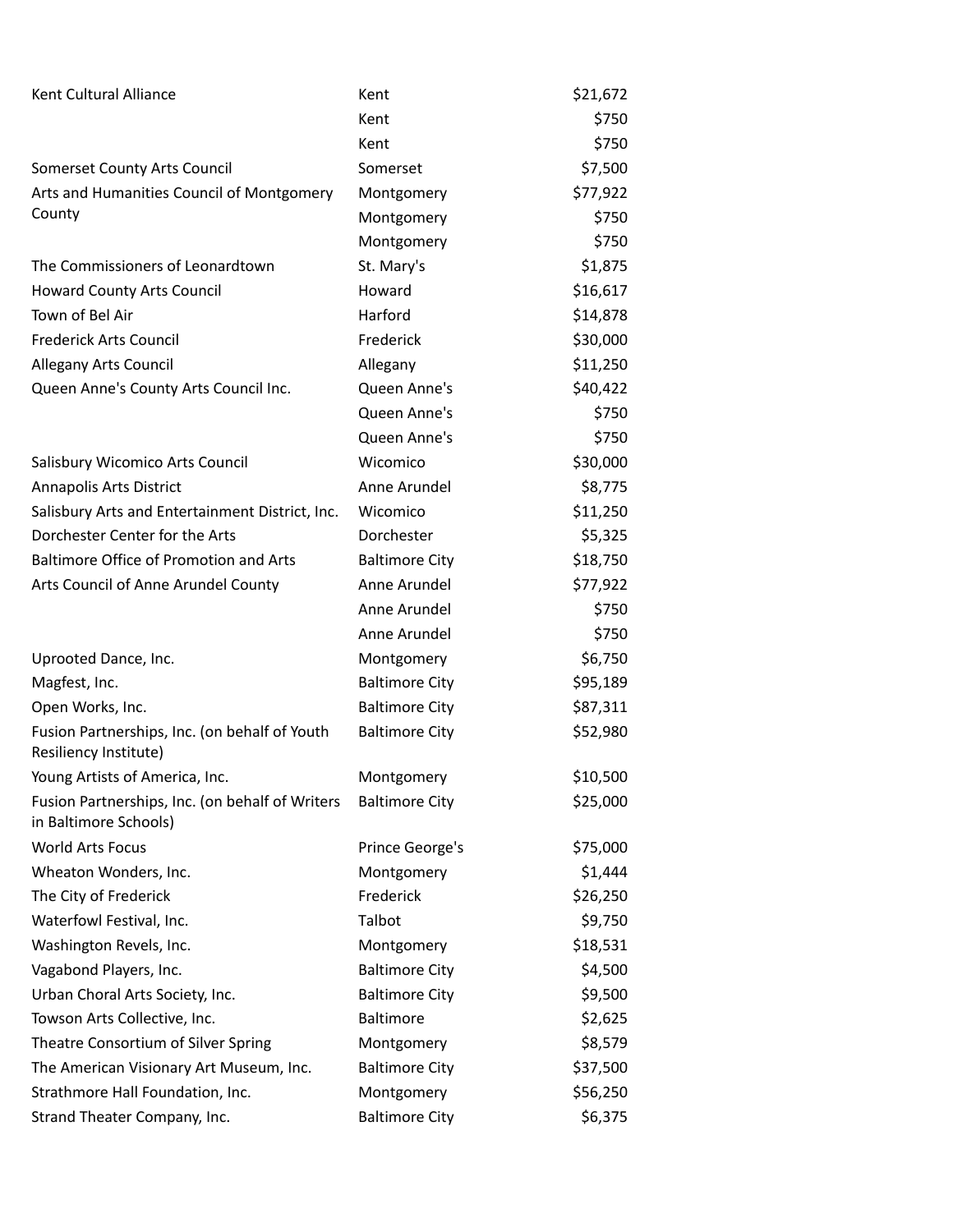| Kent Cultural Alliance                                                   | Kent                  | \$21,672 |
|--------------------------------------------------------------------------|-----------------------|----------|
|                                                                          | Kent                  | \$750    |
|                                                                          | Kent                  | \$750    |
| Somerset County Arts Council                                             | Somerset              | \$7,500  |
| Arts and Humanities Council of Montgomery                                | Montgomery            | \$77,922 |
| County                                                                   | Montgomery            | \$750    |
|                                                                          | Montgomery            | \$750    |
| The Commissioners of Leonardtown                                         | St. Mary's            | \$1,875  |
| <b>Howard County Arts Council</b>                                        | Howard                | \$16,617 |
| Town of Bel Air                                                          | Harford               | \$14,878 |
| Frederick Arts Council                                                   | Frederick             | \$30,000 |
| Allegany Arts Council                                                    | Allegany              | \$11,250 |
| Queen Anne's County Arts Council Inc.                                    | Queen Anne's          | \$40,422 |
|                                                                          | Queen Anne's          | \$750    |
|                                                                          | Queen Anne's          | \$750    |
| Salisbury Wicomico Arts Council                                          | Wicomico              | \$30,000 |
| Annapolis Arts District                                                  | Anne Arundel          | \$8,775  |
| Salisbury Arts and Entertainment District, Inc.                          | Wicomico              | \$11,250 |
| Dorchester Center for the Arts                                           | Dorchester            | \$5,325  |
| Baltimore Office of Promotion and Arts                                   | <b>Baltimore City</b> | \$18,750 |
| Arts Council of Anne Arundel County                                      | Anne Arundel          | \$77,922 |
|                                                                          | Anne Arundel          | \$750    |
|                                                                          | Anne Arundel          | \$750    |
| Uprooted Dance, Inc.                                                     | Montgomery            | \$6,750  |
| Magfest, Inc.                                                            | <b>Baltimore City</b> | \$95,189 |
| Open Works, Inc.                                                         | <b>Baltimore City</b> | \$87,311 |
| Fusion Partnerships, Inc. (on behalf of Youth<br>Resiliency Institute)   | <b>Baltimore City</b> | \$52,980 |
| Young Artists of America, Inc.                                           | Montgomery            | \$10,500 |
| Fusion Partnerships, Inc. (on behalf of Writers<br>in Baltimore Schools) | <b>Baltimore City</b> | \$25,000 |
| <b>World Arts Focus</b>                                                  | Prince George's       | \$75,000 |
| Wheaton Wonders, Inc.                                                    | Montgomery            | \$1,444  |
| The City of Frederick                                                    | Frederick             | \$26,250 |
| Waterfowl Festival, Inc.                                                 | Talbot                | \$9,750  |
| Washington Revels, Inc.                                                  | Montgomery            | \$18,531 |
| Vagabond Players, Inc.                                                   | <b>Baltimore City</b> | \$4,500  |
| Urban Choral Arts Society, Inc.                                          | <b>Baltimore City</b> | \$9,500  |
| Towson Arts Collective, Inc.                                             | Baltimore             | \$2,625  |
| Theatre Consortium of Silver Spring                                      | Montgomery            | \$8,579  |
| The American Visionary Art Museum, Inc.                                  | <b>Baltimore City</b> | \$37,500 |
| Strathmore Hall Foundation, Inc.                                         | Montgomery            | \$56,250 |
| Strand Theater Company, Inc.                                             | <b>Baltimore City</b> | \$6,375  |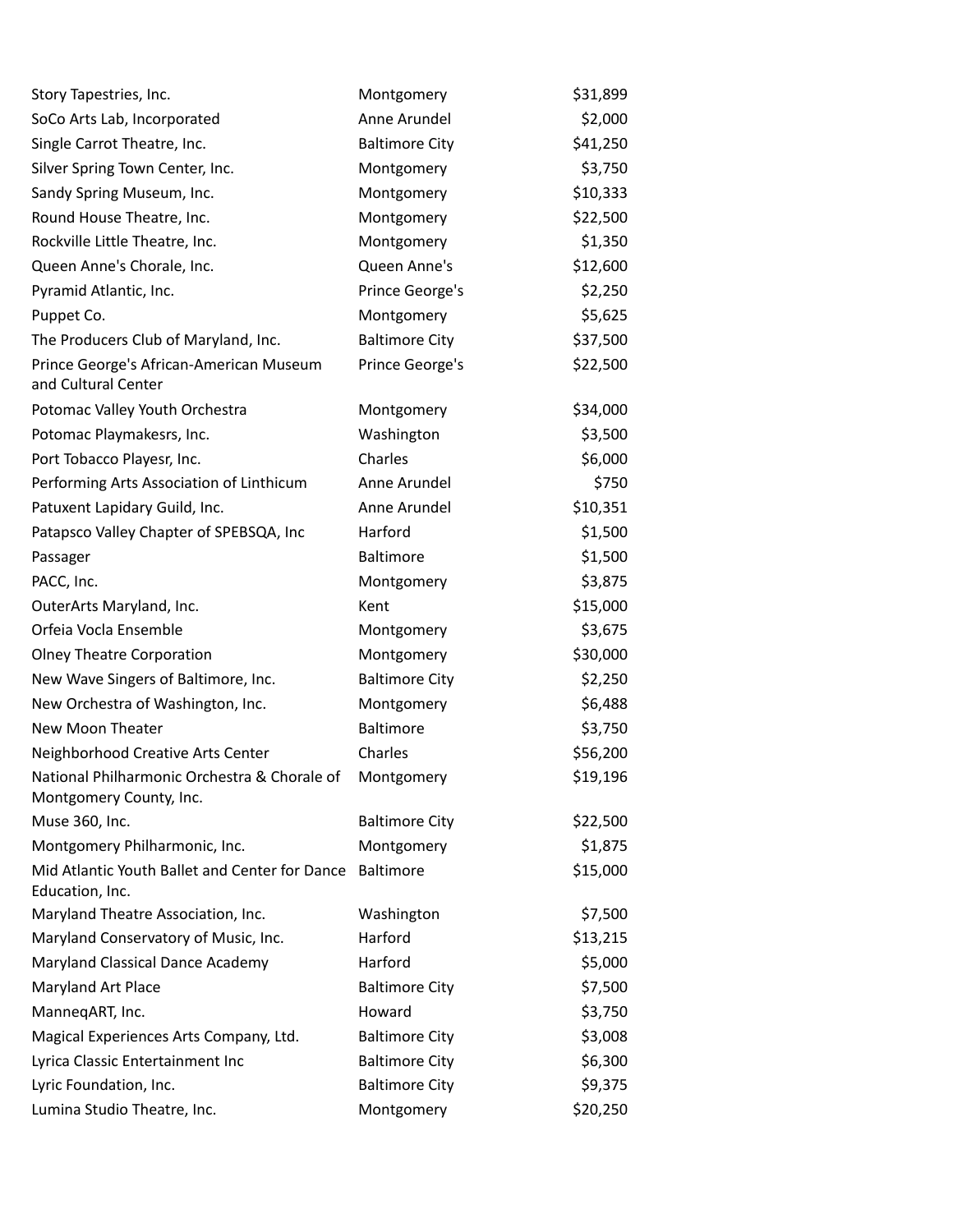| Story Tapestries, Inc.                                                  | Montgomery            | \$31,899 |
|-------------------------------------------------------------------------|-----------------------|----------|
| SoCo Arts Lab, Incorporated                                             | Anne Arundel          | \$2,000  |
| Single Carrot Theatre, Inc.                                             | <b>Baltimore City</b> | \$41,250 |
| Silver Spring Town Center, Inc.                                         | Montgomery            | \$3,750  |
| Sandy Spring Museum, Inc.                                               | Montgomery            | \$10,333 |
| Round House Theatre, Inc.                                               | Montgomery            | \$22,500 |
| Rockville Little Theatre, Inc.                                          | Montgomery            | \$1,350  |
| Queen Anne's Chorale, Inc.                                              | Queen Anne's          | \$12,600 |
| Pyramid Atlantic, Inc.                                                  | Prince George's       | \$2,250  |
| Puppet Co.                                                              | Montgomery            | \$5,625  |
| The Producers Club of Maryland, Inc.                                    | <b>Baltimore City</b> | \$37,500 |
| Prince George's African-American Museum<br>and Cultural Center          | Prince George's       | \$22,500 |
| Potomac Valley Youth Orchestra                                          | Montgomery            | \$34,000 |
| Potomac Playmakesrs, Inc.                                               | Washington            | \$3,500  |
| Port Tobacco Playesr, Inc.                                              | Charles               | \$6,000  |
| Performing Arts Association of Linthicum                                | Anne Arundel          | \$750    |
| Patuxent Lapidary Guild, Inc.                                           | Anne Arundel          | \$10,351 |
| Patapsco Valley Chapter of SPEBSQA, Inc                                 | Harford               | \$1,500  |
| Passager                                                                | Baltimore             | \$1,500  |
| PACC, Inc.                                                              | Montgomery            | \$3,875  |
| OuterArts Maryland, Inc.                                                | Kent                  | \$15,000 |
| Orfeia Vocla Ensemble                                                   | Montgomery            | \$3,675  |
| <b>Olney Theatre Corporation</b>                                        | Montgomery            | \$30,000 |
| New Wave Singers of Baltimore, Inc.                                     | <b>Baltimore City</b> | \$2,250  |
| New Orchestra of Washington, Inc.                                       | Montgomery            | \$6,488  |
| New Moon Theater                                                        | <b>Baltimore</b>      | \$3,750  |
| Neighborhood Creative Arts Center                                       | Charles               | \$56,200 |
| National Philharmonic Orchestra & Chorale of<br>Montgomery County, Inc. | Montgomery            | \$19,196 |
| Muse 360, Inc.                                                          | <b>Baltimore City</b> | \$22,500 |
| Montgomery Philharmonic, Inc.                                           | Montgomery            | \$1,875  |
| Mid Atlantic Youth Ballet and Center for Dance<br>Education, Inc.       | Baltimore             | \$15,000 |
| Maryland Theatre Association, Inc.                                      | Washington            | \$7,500  |
| Maryland Conservatory of Music, Inc.                                    | Harford               | \$13,215 |
| Maryland Classical Dance Academy                                        | Harford               | \$5,000  |
| Maryland Art Place                                                      | <b>Baltimore City</b> | \$7,500  |
| ManneqART, Inc.                                                         | Howard                | \$3,750  |
| Magical Experiences Arts Company, Ltd.                                  | <b>Baltimore City</b> | \$3,008  |
| Lyrica Classic Entertainment Inc                                        | <b>Baltimore City</b> | \$6,300  |
| Lyric Foundation, Inc.                                                  | <b>Baltimore City</b> | \$9,375  |
| Lumina Studio Theatre, Inc.                                             | Montgomery            | \$20,250 |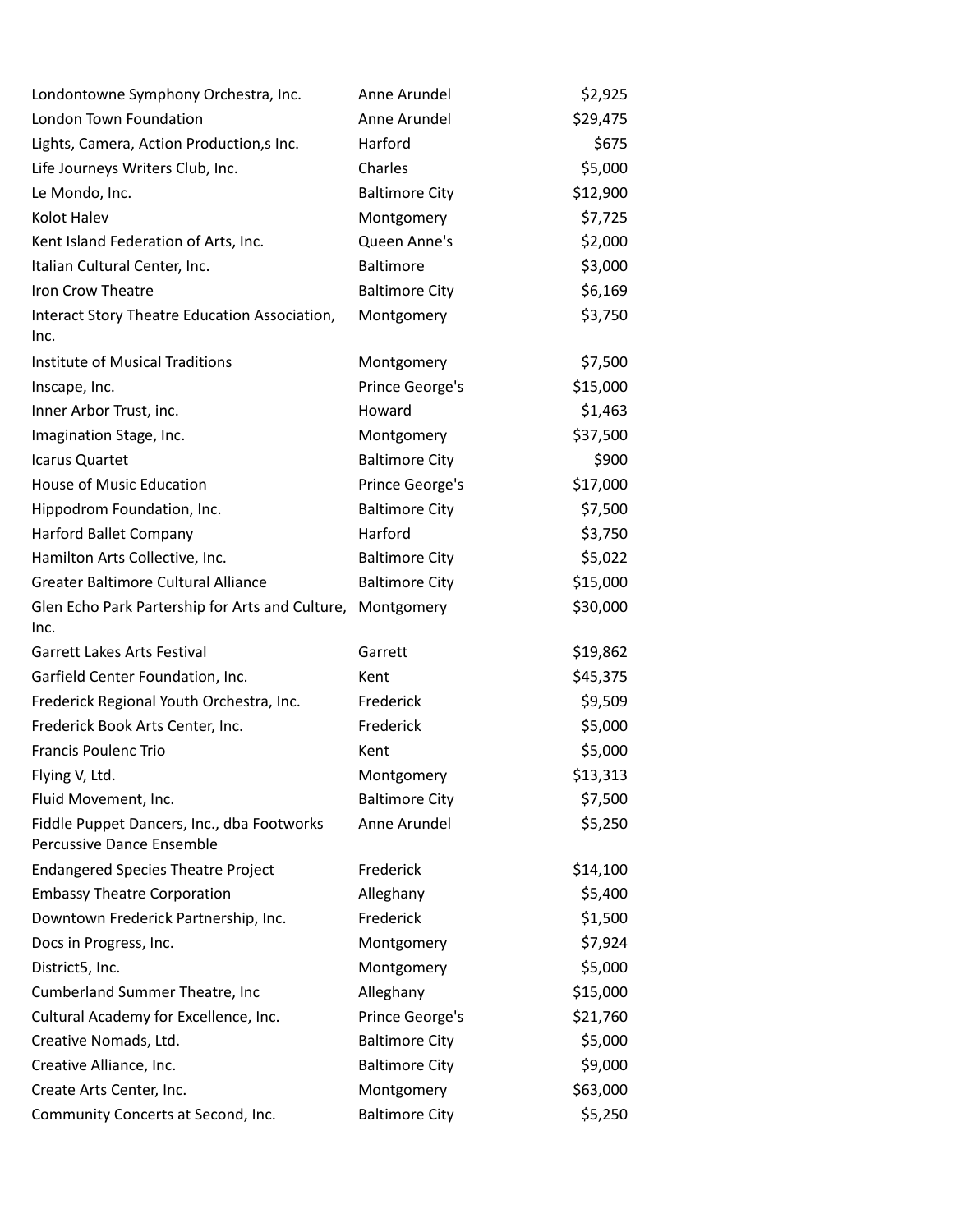| Londontowne Symphony Orchestra, Inc.                                    | Anne Arundel          | \$2,925  |
|-------------------------------------------------------------------------|-----------------------|----------|
| London Town Foundation                                                  | Anne Arundel          | \$29,475 |
| Lights, Camera, Action Production,s Inc.                                | Harford               | \$675    |
| Life Journeys Writers Club, Inc.                                        | Charles               | \$5,000  |
| Le Mondo, Inc.                                                          | <b>Baltimore City</b> | \$12,900 |
| Kolot Halev                                                             | Montgomery            | \$7,725  |
| Kent Island Federation of Arts, Inc.                                    | Queen Anne's          | \$2,000  |
| Italian Cultural Center, Inc.                                           | Baltimore             | \$3,000  |
| Iron Crow Theatre                                                       | <b>Baltimore City</b> | \$6,169  |
| Interact Story Theatre Education Association,<br>Inc.                   | Montgomery            | \$3,750  |
| Institute of Musical Traditions                                         | Montgomery            | \$7,500  |
| Inscape, Inc.                                                           | Prince George's       | \$15,000 |
| Inner Arbor Trust, inc.                                                 | Howard                | \$1,463  |
| Imagination Stage, Inc.                                                 | Montgomery            | \$37,500 |
| Icarus Quartet                                                          | <b>Baltimore City</b> | \$900    |
| House of Music Education                                                | Prince George's       | \$17,000 |
| Hippodrom Foundation, Inc.                                              | <b>Baltimore City</b> | \$7,500  |
| Harford Ballet Company                                                  | Harford               | \$3,750  |
| Hamilton Arts Collective, Inc.                                          | <b>Baltimore City</b> | \$5,022  |
| Greater Baltimore Cultural Alliance                                     | <b>Baltimore City</b> | \$15,000 |
| Glen Echo Park Partership for Arts and Culture,<br>Inc.                 | Montgomery            | \$30,000 |
| <b>Garrett Lakes Arts Festival</b>                                      | Garrett               | \$19,862 |
| Garfield Center Foundation, Inc.                                        | Kent                  | \$45,375 |
| Frederick Regional Youth Orchestra, Inc.                                | Frederick             | \$9,509  |
| Frederick Book Arts Center, Inc.                                        | Frederick             | \$5,000  |
| <b>Francis Poulenc Trio</b>                                             | Kent                  | \$5,000  |
| Flying V, Ltd.                                                          | Montgomery            | \$13,313 |
| Fluid Movement, Inc.                                                    | <b>Baltimore City</b> | \$7,500  |
| Fiddle Puppet Dancers, Inc., dba Footworks<br>Percussive Dance Ensemble | Anne Arundel          | \$5,250  |
| <b>Endangered Species Theatre Project</b>                               | Frederick             | \$14,100 |
| <b>Embassy Theatre Corporation</b>                                      | Alleghany             | \$5,400  |
| Downtown Frederick Partnership, Inc.                                    | Frederick             | \$1,500  |
| Docs in Progress, Inc.                                                  | Montgomery            | \$7,924  |
| District5, Inc.                                                         | Montgomery            | \$5,000  |
| Cumberland Summer Theatre, Inc                                          | Alleghany             | \$15,000 |
| Cultural Academy for Excellence, Inc.                                   | Prince George's       | \$21,760 |
| Creative Nomads, Ltd.                                                   | <b>Baltimore City</b> | \$5,000  |
| Creative Alliance, Inc.                                                 | <b>Baltimore City</b> | \$9,000  |
| Create Arts Center, Inc.                                                | Montgomery            | \$63,000 |
| Community Concerts at Second, Inc.                                      | <b>Baltimore City</b> | \$5,250  |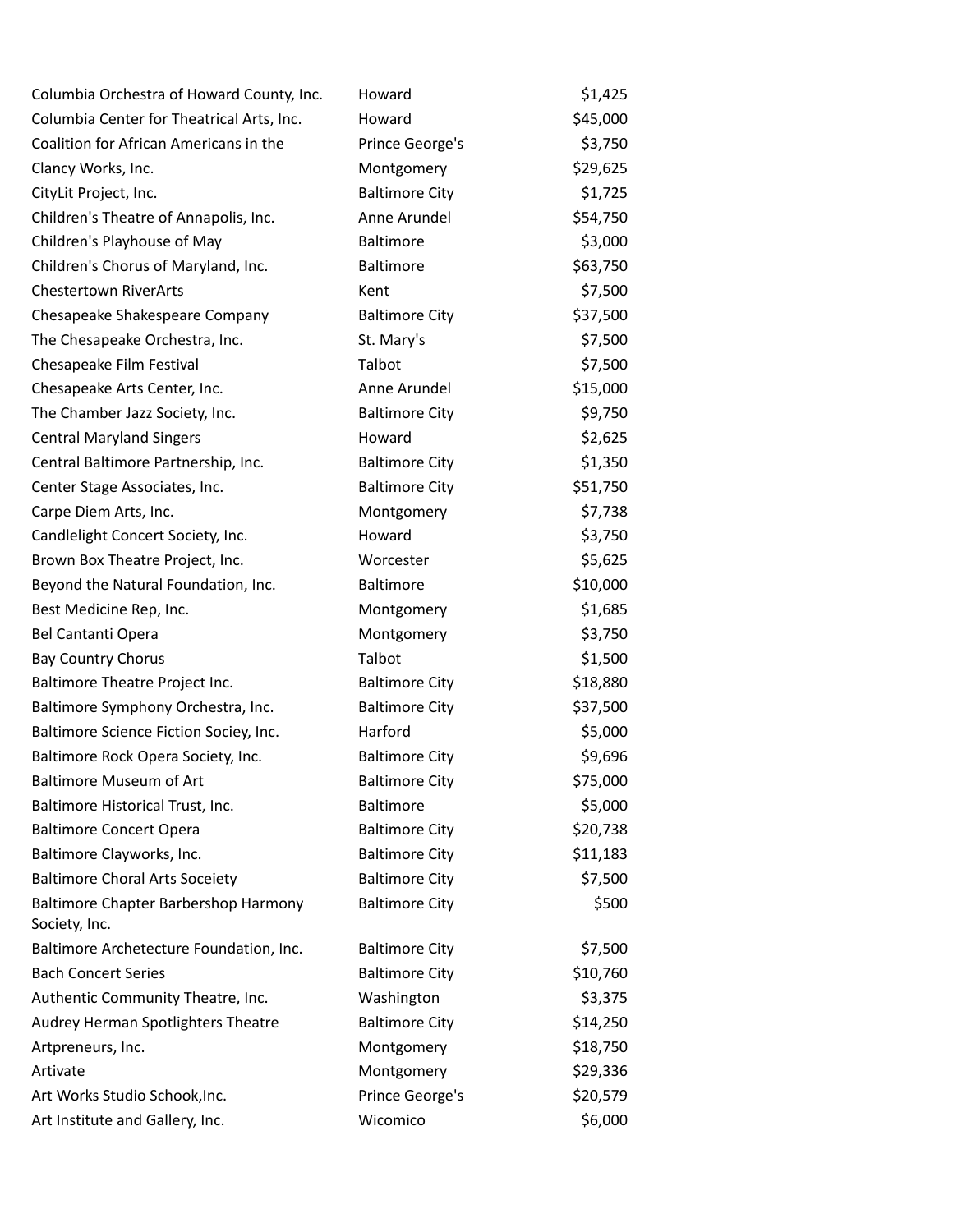| Columbia Orchestra of Howard County, Inc.             | Howard                | \$1,425  |
|-------------------------------------------------------|-----------------------|----------|
| Columbia Center for Theatrical Arts, Inc.             | Howard                | \$45,000 |
| Coalition for African Americans in the                | Prince George's       | \$3,750  |
| Clancy Works, Inc.                                    | Montgomery            | \$29,625 |
| CityLit Project, Inc.                                 | <b>Baltimore City</b> | \$1,725  |
| Children's Theatre of Annapolis, Inc.                 | Anne Arundel          | \$54,750 |
| Children's Playhouse of May                           | Baltimore             | \$3,000  |
| Children's Chorus of Maryland, Inc.                   | Baltimore             | \$63,750 |
| <b>Chestertown RiverArts</b>                          | Kent                  | \$7,500  |
| Chesapeake Shakespeare Company                        | <b>Baltimore City</b> | \$37,500 |
| The Chesapeake Orchestra, Inc.                        | St. Mary's            | \$7,500  |
| Chesapeake Film Festival                              | Talbot                | \$7,500  |
| Chesapeake Arts Center, Inc.                          | Anne Arundel          | \$15,000 |
| The Chamber Jazz Society, Inc.                        | <b>Baltimore City</b> | \$9,750  |
| <b>Central Maryland Singers</b>                       | Howard                | \$2,625  |
| Central Baltimore Partnership, Inc.                   | <b>Baltimore City</b> | \$1,350  |
| Center Stage Associates, Inc.                         | <b>Baltimore City</b> | \$51,750 |
| Carpe Diem Arts, Inc.                                 | Montgomery            | \$7,738  |
| Candlelight Concert Society, Inc.                     | Howard                | \$3,750  |
| Brown Box Theatre Project, Inc.                       | Worcester             | \$5,625  |
| Beyond the Natural Foundation, Inc.                   | Baltimore             | \$10,000 |
| Best Medicine Rep, Inc.                               | Montgomery            | \$1,685  |
| Bel Cantanti Opera                                    | Montgomery            | \$3,750  |
| <b>Bay Country Chorus</b>                             | Talbot                | \$1,500  |
| Baltimore Theatre Project Inc.                        | <b>Baltimore City</b> | \$18,880 |
| Baltimore Symphony Orchestra, Inc.                    | <b>Baltimore City</b> | \$37,500 |
| Baltimore Science Fiction Sociey, Inc.                | Harford               | \$5,000  |
| Baltimore Rock Opera Society, Inc.                    | <b>Baltimore City</b> | \$9,696  |
| Baltimore Museum of Art                               | <b>Baltimore City</b> | \$75,000 |
| Baltimore Historical Trust, Inc.                      | <b>Baltimore</b>      | \$5,000  |
| <b>Baltimore Concert Opera</b>                        | <b>Baltimore City</b> | \$20,738 |
| Baltimore Clayworks, Inc.                             | <b>Baltimore City</b> | \$11,183 |
| <b>Baltimore Choral Arts Soceiety</b>                 | <b>Baltimore City</b> | \$7,500  |
| Baltimore Chapter Barbershop Harmony<br>Society, Inc. | <b>Baltimore City</b> | \$500    |
| Baltimore Archetecture Foundation, Inc.               | <b>Baltimore City</b> | \$7,500  |
| <b>Bach Concert Series</b>                            | <b>Baltimore City</b> | \$10,760 |
| Authentic Community Theatre, Inc.                     | Washington            | \$3,375  |
| Audrey Herman Spotlighters Theatre                    | <b>Baltimore City</b> | \$14,250 |
| Artpreneurs, Inc.                                     | Montgomery            | \$18,750 |
| Artivate                                              | Montgomery            | \$29,336 |
| Art Works Studio Schook, Inc.                         | Prince George's       | \$20,579 |
| Art Institute and Gallery, Inc.                       | Wicomico              | \$6,000  |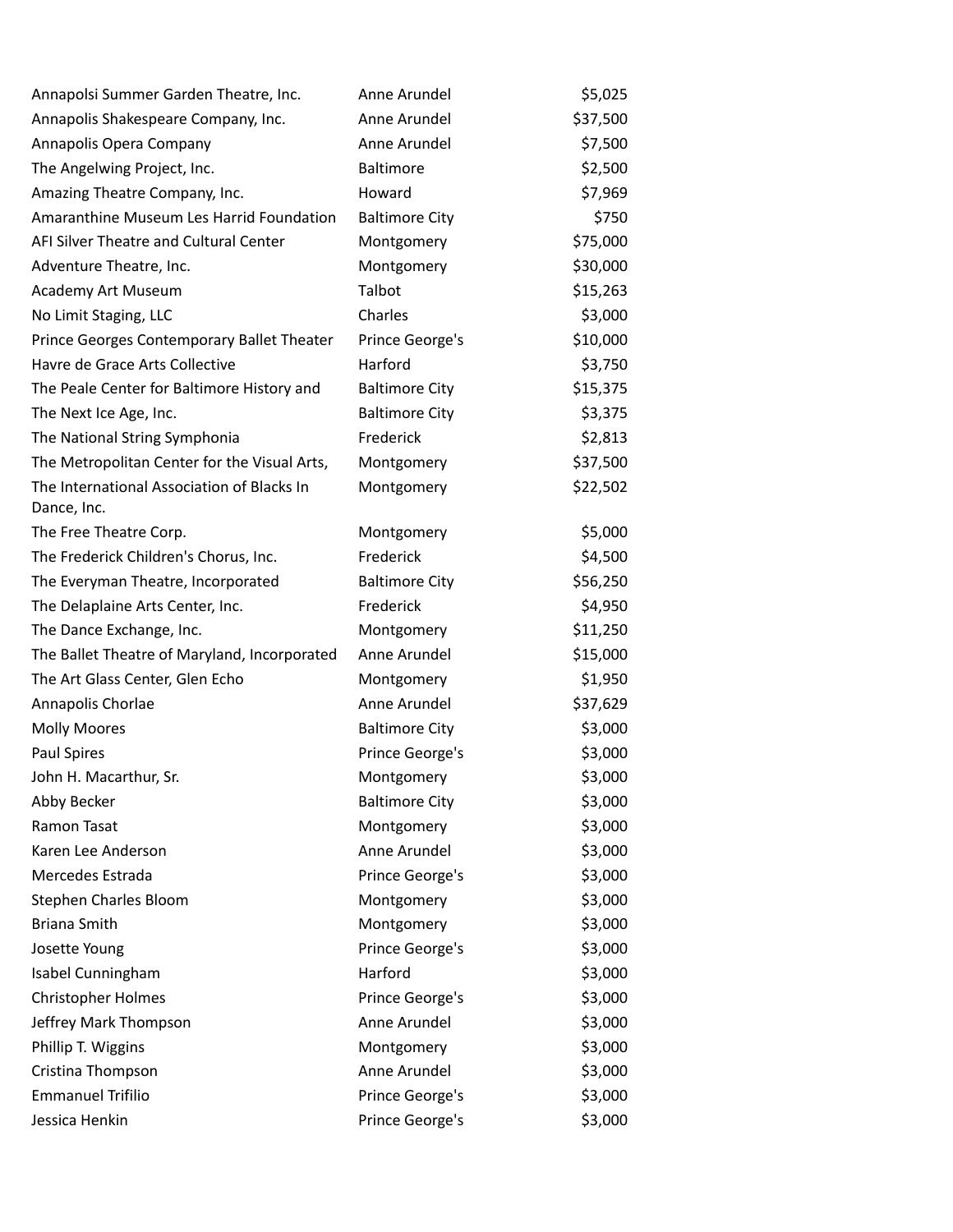| Annapolsi Summer Garden Theatre, Inc.                     | Anne Arundel          | \$5,025  |
|-----------------------------------------------------------|-----------------------|----------|
| Annapolis Shakespeare Company, Inc.                       | Anne Arundel          | \$37,500 |
| Annapolis Opera Company                                   | Anne Arundel          | \$7,500  |
| The Angelwing Project, Inc.                               | Baltimore             | \$2,500  |
| Amazing Theatre Company, Inc.                             | Howard                | \$7,969  |
| Amaranthine Museum Les Harrid Foundation                  | <b>Baltimore City</b> | \$750    |
| AFI Silver Theatre and Cultural Center                    | Montgomery            | \$75,000 |
| Adventure Theatre, Inc.                                   | Montgomery            | \$30,000 |
| Academy Art Museum                                        | Talbot                | \$15,263 |
| No Limit Staging, LLC                                     | Charles               | \$3,000  |
| Prince Georges Contemporary Ballet Theater                | Prince George's       | \$10,000 |
| Havre de Grace Arts Collective                            | Harford               | \$3,750  |
| The Peale Center for Baltimore History and                | <b>Baltimore City</b> | \$15,375 |
| The Next Ice Age, Inc.                                    | <b>Baltimore City</b> | \$3,375  |
| The National String Symphonia                             | Frederick             | \$2,813  |
| The Metropolitan Center for the Visual Arts,              | Montgomery            | \$37,500 |
| The International Association of Blacks In<br>Dance, Inc. | Montgomery            | \$22,502 |
| The Free Theatre Corp.                                    | Montgomery            | \$5,000  |
| The Frederick Children's Chorus, Inc.                     | Frederick             | \$4,500  |
| The Everyman Theatre, Incorporated                        | <b>Baltimore City</b> | \$56,250 |
| The Delaplaine Arts Center, Inc.                          | Frederick             | \$4,950  |
| The Dance Exchange, Inc.                                  | Montgomery            | \$11,250 |
| The Ballet Theatre of Maryland, Incorporated              | Anne Arundel          | \$15,000 |
| The Art Glass Center, Glen Echo                           | Montgomery            | \$1,950  |
| Annapolis Chorlae                                         | Anne Arundel          | \$37,629 |
| <b>Molly Moores</b>                                       | <b>Baltimore City</b> | \$3,000  |
| Paul Spires                                               | Prince George's       | \$3,000  |
| John H. Macarthur, Sr.                                    | Montgomery            | \$3,000  |
| Abby Becker                                               | <b>Baltimore City</b> | \$3,000  |
| Ramon Tasat                                               | Montgomery            | \$3,000  |
| Karen Lee Anderson                                        | Anne Arundel          | \$3,000  |
| Mercedes Estrada                                          | Prince George's       | \$3,000  |
| <b>Stephen Charles Bloom</b>                              | Montgomery            | \$3,000  |
| <b>Briana Smith</b>                                       | Montgomery            | \$3,000  |
| Josette Young                                             | Prince George's       | \$3,000  |
| Isabel Cunningham                                         | Harford               | \$3,000  |
| <b>Christopher Holmes</b>                                 | Prince George's       | \$3,000  |
| Jeffrey Mark Thompson                                     | Anne Arundel          | \$3,000  |
| Phillip T. Wiggins                                        | Montgomery            | \$3,000  |
| Cristina Thompson                                         | Anne Arundel          | \$3,000  |
| <b>Emmanuel Trifilio</b>                                  | Prince George's       | \$3,000  |
| Jessica Henkin                                            | Prince George's       | \$3,000  |